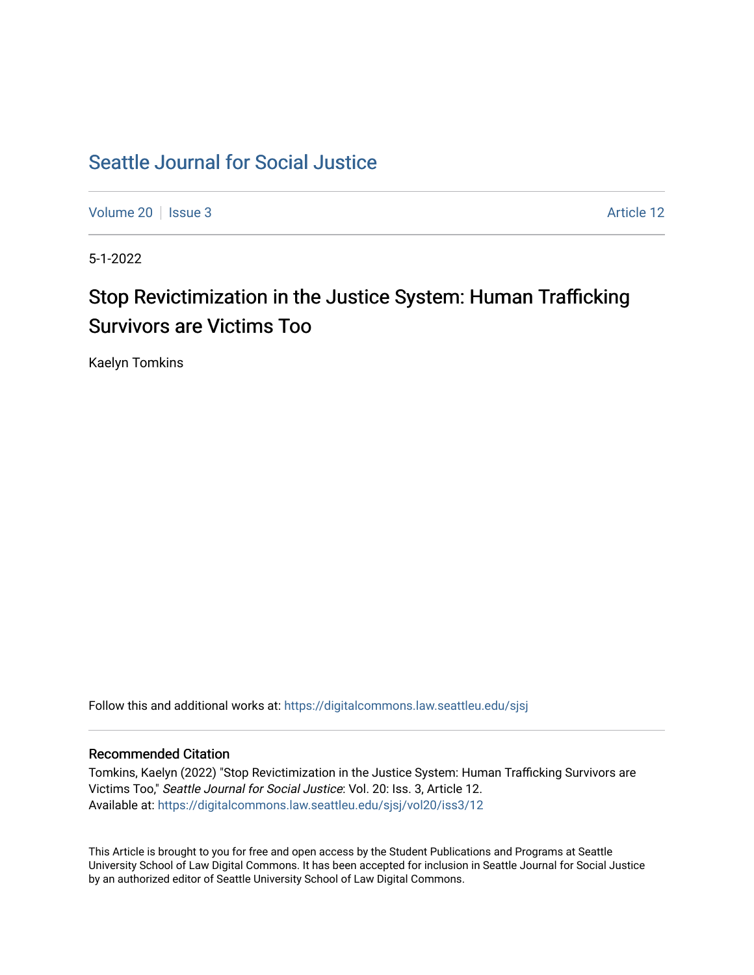# [Seattle Journal for Social Justice](https://digitalcommons.law.seattleu.edu/sjsj)

[Volume 20](https://digitalcommons.law.seattleu.edu/sjsj/vol20) | [Issue 3](https://digitalcommons.law.seattleu.edu/sjsj/vol20/iss3) Article 12

5-1-2022

# Stop Revictimization in the Justice System: Human Trafficking Survivors are Victims Too

Kaelyn Tomkins

Follow this and additional works at: [https://digitalcommons.law.seattleu.edu/sjsj](https://digitalcommons.law.seattleu.edu/sjsj?utm_source=digitalcommons.law.seattleu.edu%2Fsjsj%2Fvol20%2Fiss3%2F12&utm_medium=PDF&utm_campaign=PDFCoverPages)

## Recommended Citation

Tomkins, Kaelyn (2022) "Stop Revictimization in the Justice System: Human Trafficking Survivors are Victims Too," Seattle Journal for Social Justice: Vol. 20: Iss. 3, Article 12. Available at: [https://digitalcommons.law.seattleu.edu/sjsj/vol20/iss3/12](https://digitalcommons.law.seattleu.edu/sjsj/vol20/iss3/12?utm_source=digitalcommons.law.seattleu.edu%2Fsjsj%2Fvol20%2Fiss3%2F12&utm_medium=PDF&utm_campaign=PDFCoverPages) 

This Article is brought to you for free and open access by the Student Publications and Programs at Seattle University School of Law Digital Commons. It has been accepted for inclusion in Seattle Journal for Social Justice by an authorized editor of Seattle University School of Law Digital Commons.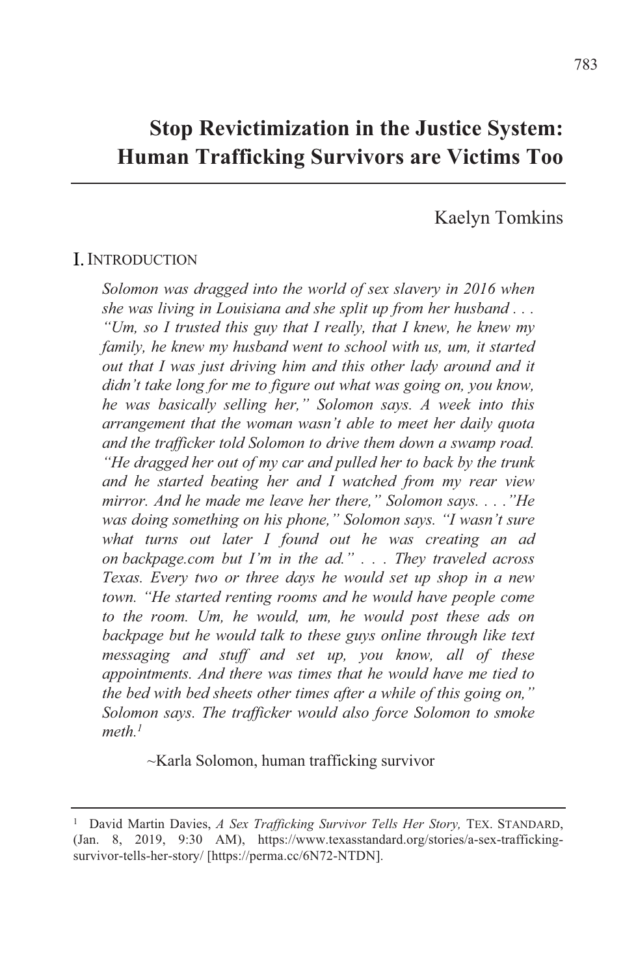## **Stop Revictimization in the Justice System: Human Trafficking Survivors are Victims Too**

## Kaelyn Tomkins

## I. INTRODUCTION

*Solomon was dragged into the world of sex slavery in 2016 when Abe was living in Louisiana and she split up from her husband*  $\ldots$ *. ('Um, so I trusted this guy that I really, that I knew, he knew my family, he knew my husband went to school with us, um, it started 3-out that I was just driving him and this other lady around and it Aidn't take long for me to figure out what was going on, you know, he was basically selling her," Solomon says. A week into this Arrangement that the woman wasn't able to meet her daily quota And the trafficker told Solomon to drive them down a swamp road. ("He dragged her out of my car and pulled her to back by the trunk*  $\overline{A}$  *and he started beating her and I watched from my rear view mirror. And he made me leave her there," Solomon says...."He was doing something on his phone," Solomon says. "I wasn't sure what turns out later I found out he was creating an ad*  $\overline{AB}$  *on backpage.com but I'm in the ad."... They traveled across Kexas. Every two or three days he would set up shop in a new fown.* "He started renting rooms and he would have people come *sto the room. Um, he would, um, he would post these ads on backpage but he would talk to these guys online through like text messaging and stuff and set up, you know, all of these Appointments. And there was times that he would have me tied to Abe bed with bed sheets other times after a while of this going on," Solomon says. The trafficker would also force Solomon to smoke*  $meth.<sup>1</sup>$ 

 $\sim$ Karla Solomon, human trafficking survivor

<sup>&</sup>lt;sup>1</sup> David Martin Davies, *A Sex Trafficking Survivor Tells Her Story*, TEX. STANDARD,  $Jan. 8, 2019, 9:30$  AM), https://www.texasstandard.org/stories/a-sex-traffickingsurvivor-tells-her-story/ [https://perma.cc/6N72-NTDN].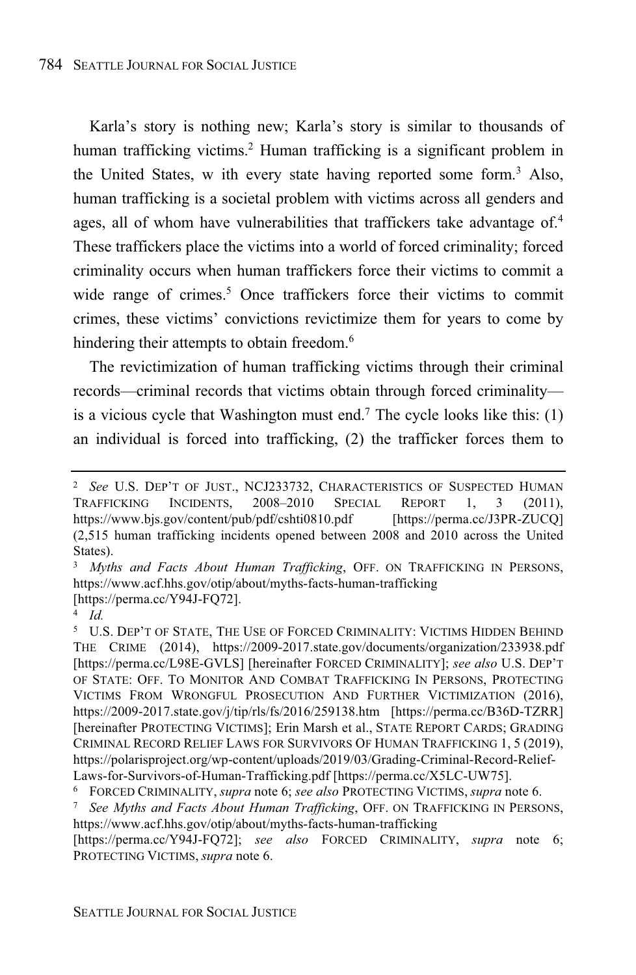Karla's story is nothing new; Karla's story is similar to thousands of human trafficking victims. <sup>2</sup> Human trafficking is a significant problem in the United States, w ith every state having reported some form. <sup>3</sup> Also, human trafficking is a societal problem with victims across all genders and ages, all of whom have vulnerabilities that traffickers take advantage of. 4 These traffickers place the victims into a world of forced criminality; forced criminality occurs when human traffickers force their victims to commit a wide range of crimes.<sup>5</sup> Once traffickers force their victims to commit crimes, these victims' convictions revictimize them for years to come by hindering their attempts to obtain freedom.<sup>6</sup>

The revictimization of human trafficking victims through their criminal records—criminal records that victims obtain through forced criminality is a vicious cycle that Washington must end.<sup>7</sup> The cycle looks like this:  $(1)$ an individual is forced into trafficking, (2) the trafficker forces them to

[https://perma.cc/Y94J-FQ72]; *see also* FORCED CRIMINALITY, *supra* note 6; PROTECTING VICTIMS, *supra* note 6.

<sup>2</sup> *See* U.S. DEP'T OF JUST., NCJ233732, CHARACTERISTICS OF SUSPECTED HUMAN TRAFFICKING INCIDENTS, 2008–2010 SPECIAL REPORT 1, 3 (2011), https://www.bjs.gov/content/pub/pdf/cshti0810.pdf [https://perma.cc/J3PR-ZUCQ] (2,515 human trafficking incidents opened between 2008 and 2010 across the United States).

<sup>3</sup> *Myths and Facts About Human Trafficking*, OFF. ON TRAFFICKING IN PERSONS, https://www.acf.hhs.gov/otip/about/myths-facts-human-trafficking [https://perma.cc/Y94J-FQ72].

<sup>4</sup> *Id.*

<sup>5</sup> U.S. DEP'T OF STATE, THE USE OF FORCED CRIMINALITY: VICTIMS HIDDEN BEHIND THE CRIME (2014), https://2009-2017.state.gov/documents/organization/233938.pdf [https://perma.cc/L98E-GVLS] [hereinafter FORCED CRIMINALITY]; *see also* U.S. DEP'T OF STATE: OFF. TO MONITOR AND COMBAT TRAFFICKING IN PERSONS, PROTECTING VICTIMS FROM WRONGFUL PROSECUTION AND FURTHER VICTIMIZATION (2016), https://2009-2017.state.gov/j/tip/rls/fs/2016/259138.htm [https://perma.cc/B36D-TZRR] [hereinafter PROTECTING VICTIMS]; Erin Marsh et al., STATE REPORT CARDS; GRADING CRIMINAL RECORD RELIEF LAWS FOR SURVIVORS OF HUMAN TRAFFICKING 1, 5 (2019), https://polarisproject.org/wp-content/uploads/2019/03/Grading-Criminal-Record-Relief-Laws-for-Survivors-of-Human-Trafficking.pdf [https://perma.cc/X5LC-UW75].

<sup>6</sup> FORCED CRIMINALITY, *supra* note 6; *see also* PROTECTING VICTIMS, *supra* note 6.

<sup>7</sup> *See Myths and Facts About Human Trafficking*, OFF. ON TRAFFICKING IN PERSONS, https://www.acf.hhs.gov/otip/about/myths-facts-human-trafficking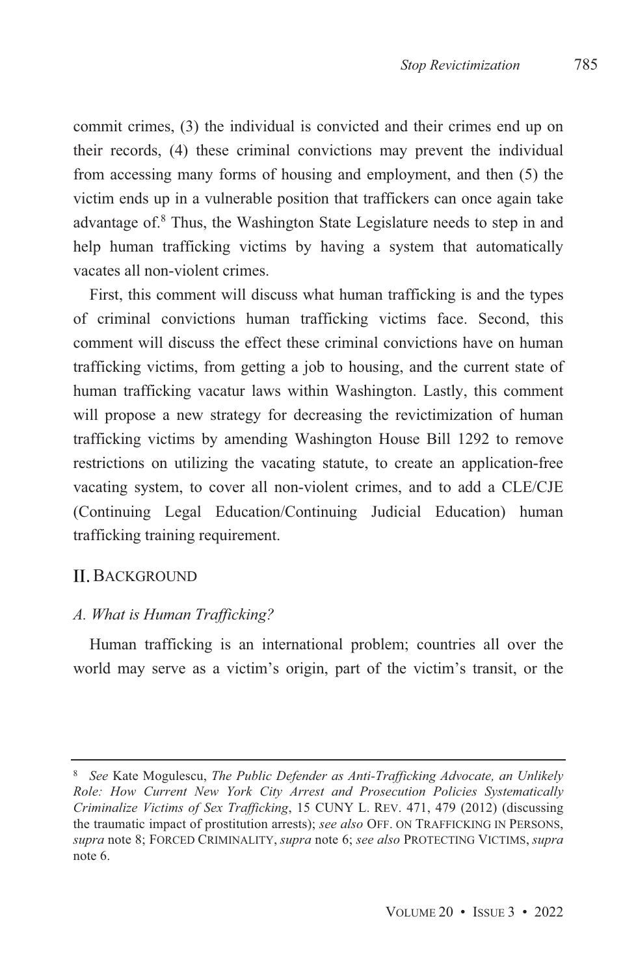commit crimes,  $(3)$  the individual is convicted and their crimes end up on their records,  $(4)$  these criminal convictions may prevent the individual from accessing many forms of housing and employment, and then  $(5)$  the victim ends up in a vulnerable position that traffickers can once again take advantage of. $8$  Thus, the Washington State Legislature needs to step in and help human trafficking victims by having a system that automatically vacates all non-violent crimes

First, this comment will discuss what human trafficking is and the types of criminal convictions human trafficking victims face. Second, this comment will discuss the effect these criminal convictions have on human trafficking victims, from getting a job to housing, and the current state of human trafficking vacatur laws within Washington. Lastly, this comment will propose a new strategy for decreasing the revictimization of human trafficking victims by amending Washington House Bill 1292 to remove restrictions on utilizing the vacating statute, to create an application-free vacating system, to cover all non-violent crimes, and to add a CLE/CJE (Continuing Legal Education/Continuing Judicial Education) human trafficking training requirement.

## **II. BACKGROUND**

#### *A. What is Human Trafficking?*

Human trafficking is an international problem; countries all over the world may serve as a victim's origin, part of the victim's transit, or the

<sup>&</sup>lt;sup>8</sup> See Kate Mogulescu, The Public Defender as Anti-Trafficking Advocate, an Unlikely *Role: How Current New York City Arrest and Prosecution Policies Systematically Criminalize Victims of Sex Trafficking, 15 CUNY L. REV. 471, 479 (2012)* (discussing the traumatic impact of prostitution arrests); see also OFF. ON TRAFFICKING IN PERSONS,  $supra$  note 8; FORCED CRIMINALITY, supra note 6; see also PROTECTING VICTIMS, supra note 6.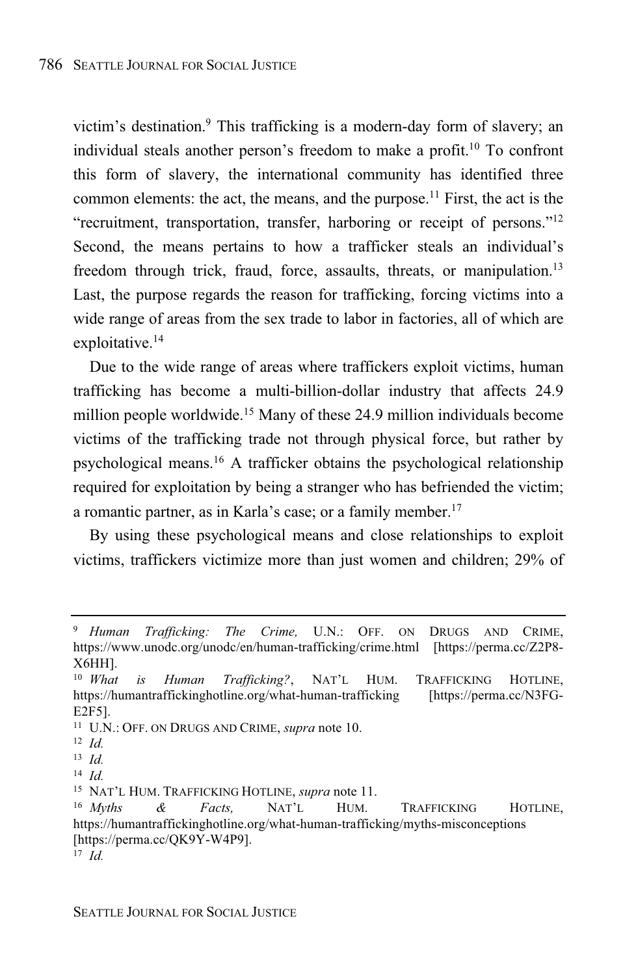victim's destination.<sup>9</sup> This trafficking is a modern-day form of slavery; an individual steals another person's freedom to make a profit.<sup>10</sup> To confront this form of slavery, the international community has identified three common elements: the act, the means, and the purpose.<sup>11</sup> First, the act is the "recruitment, transportation, transfer, harboring or receipt of persons."<sup>12</sup> Second, the means pertains to how a trafficker steals an individual's freedom through trick, fraud, force, assaults, threats, or manipulation.<sup>13</sup> Last, the purpose regards the reason for trafficking, forcing victims into a wide range of areas from the sex trade to labor in factories, all of which are exploitative.<sup>14</sup>

Due to the wide range of areas where traffickers exploit victims, human trafficking has become a multi-billion-dollar industry that affects 24.9 million people worldwide.<sup>15</sup> Many of these 24.9 million individuals become victims of the trafficking trade not through physical force, but rather by psychological means.<sup>16</sup> A trafficker obtains the psychological relationship required for exploitation by being a stranger who has befriended the victim; a romantic partner, as in Karla's case; or a family member.<sup>17</sup>

By using these psychological means and close relationships to exploit victims, traffickers victimize more than just women and children; 29% of

<sup>9</sup> *Human Trafficking: The Crime,* U.N.: OFF. ON DRUGS AND CRIME, https://www.unodc.org/unodc/en/human-trafficking/crime.html [https://perma.cc/Z2P8- X6HH].

<sup>10</sup> *What is Human Trafficking?*, NAT'L HUM. TRAFFICKING HOTLINE, https://humantraffickinghotline.org/what-human-trafficking [https://perma.cc/N3FG-E2F5].

<sup>11</sup> U.N.: OFF. ON DRUGS AND CRIME, *supra* note 10.

<sup>12</sup> *Id.*

<sup>13</sup> *Id.*

<sup>14</sup> *Id.*

<sup>15</sup> NAT'L HUM. TRAFFICKING HOTLINE, *supra* note 11.

<sup>16</sup> *Myths & Facts,* NAT'L HUM. TRAFFICKING HOTLINE, https://humantraffickinghotline.org/what-human-trafficking/myths-misconceptions [https://perma.cc/QK9Y-W4P9].

<sup>17</sup> *Id.*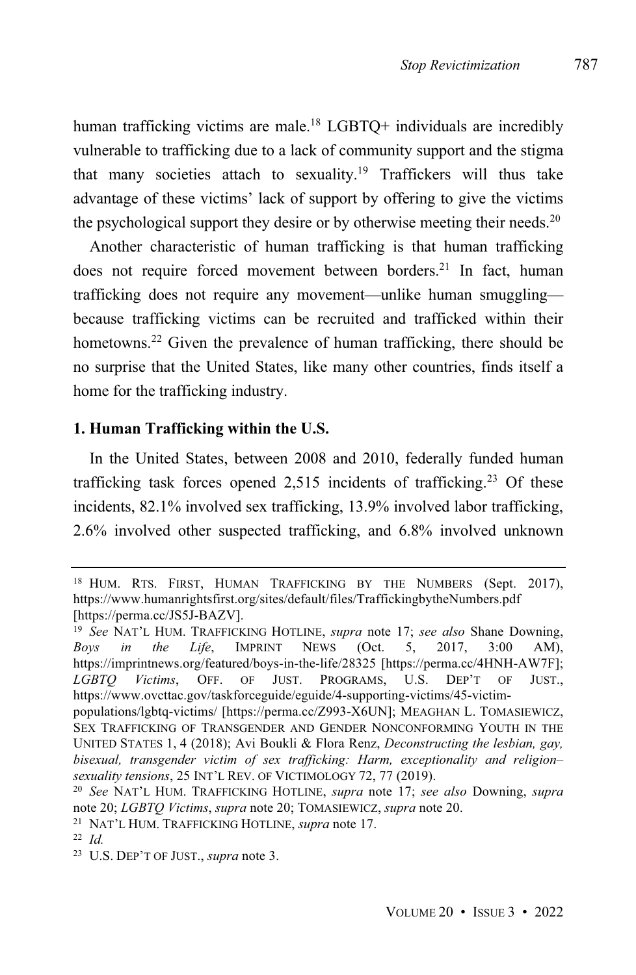human trafficking victims are male.<sup>18</sup> LGBTQ+ individuals are incredibly vulnerable to trafficking due to a lack of community support and the stigma that many societies attach to sexuality. <sup>19</sup> Traffickers will thus take advantage of these victims' lack of support by offering to give the victims the psychological support they desire or by otherwise meeting their needs.<sup>20</sup>

Another characteristic of human trafficking is that human trafficking does not require forced movement between borders. <sup>21</sup> In fact, human trafficking does not require any movement—unlike human smuggling because trafficking victims can be recruited and trafficked within their hometowns.<sup>22</sup> Given the prevalence of human trafficking, there should be no surprise that the United States, like many other countries, finds itself a home for the trafficking industry.

#### **1. Human Trafficking within the U.S.**

In the United States, between 2008 and 2010, federally funded human trafficking task forces opened  $2,515$  incidents of trafficking.<sup>23</sup> Of these incidents, 82.1% involved sex trafficking, 13.9% involved labor trafficking, 2.6% involved other suspected trafficking, and 6.8% involved unknown

<sup>18</sup> HUM. RTS. FIRST, HUMAN TRAFFICKING BY THE NUMBERS (Sept. 2017), https://www.humanrightsfirst.org/sites/default/files/TraffickingbytheNumbers.pdf [https://perma.cc/JS5J-BAZV].

<sup>19</sup> *See* NAT'L HUM. TRAFFICKING HOTLINE, *supra* note 17; *see also* Shane Downing, *Boys in the Life*, IMPRINT NEWS (Oct. 5, 2017, 3:00 AM), https://imprintnews.org/featured/boys-in-the-life/28325 [https://perma.cc/4HNH-AW7F]; *LGBTQ Victims*, OFF. OF JUST. PROGRAMS, U.S. DEP'T OF JUST., https://www.ovcttac.gov/taskforceguide/eguide/4-supporting-victims/45-victim-

populations/lgbtq-victims/ [https://perma.cc/Z993-X6UN]; MEAGHAN L. TOMASIEWICZ, SEX TRAFFICKING OF TRANSGENDER AND GENDER NONCONFORMING YOUTH IN THE UNITED STATES 1, 4 (2018); Avi Boukli & Flora Renz, *Deconstructing the lesbian, gay, bisexual, transgender victim of sex trafficking: Harm, exceptionality and religion– sexuality tensions*, 25 INT'L REV. OF VICTIMOLOGY 72, 77 (2019).

<sup>20</sup> *See* NAT'L HUM. TRAFFICKING HOTLINE, *supra* note 17; *see also* Downing, *supra* note 20; *LGBTQ Victims*, *supra* note 20; TOMASIEWICZ, *supra* note 20.

<sup>21</sup> NAT'L HUM. TRAFFICKING HOTLINE, *supra* note 17.

<sup>22</sup> *Id.*

<sup>23</sup> U.S. DEP'T OF JUST., *supra* note 3.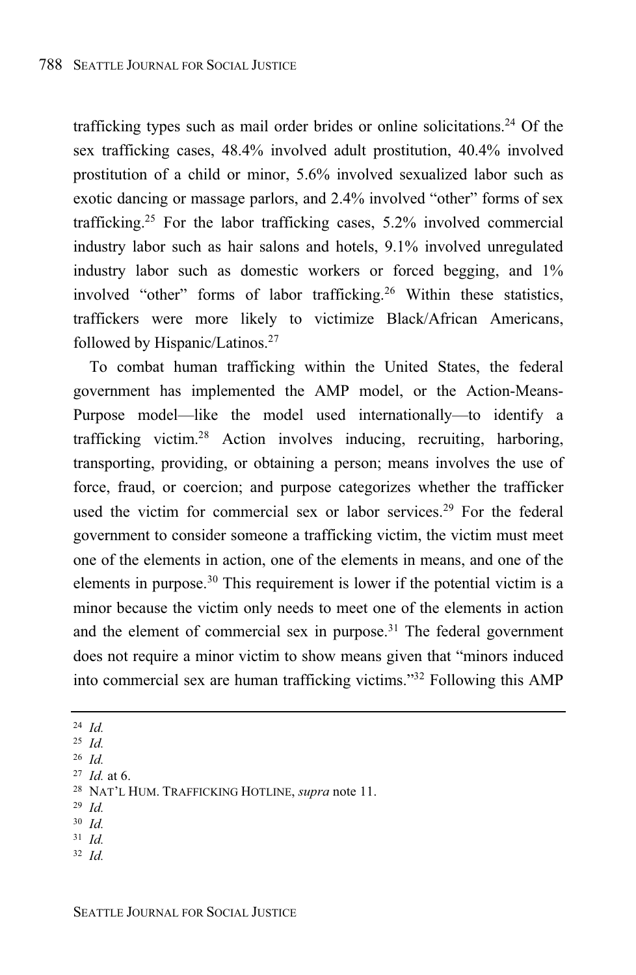trafficking types such as mail order brides or online solicitations.<sup>24</sup> Of the sex trafficking cases, 48.4% involved adult prostitution, 40.4% involved prostitution of a child or minor, 5.6% involved sexualized labor such as exotic dancing or massage parlors, and 2.4% involved "other" forms of sex trafficking. <sup>25</sup> For the labor trafficking cases, 5.2% involved commercial industry labor such as hair salons and hotels, 9.1% involved unregulated industry labor such as domestic workers or forced begging, and 1% involved "other" forms of labor trafficking.<sup>26</sup> Within these statistics, traffickers were more likely to victimize Black/African Americans, followed by Hispanic/Latinos.<sup>27</sup>

To combat human trafficking within the United States, the federal government has implemented the AMP model, or the Action-Means-Purpose model—like the model used internationally—to identify a trafficking victim.<sup>28</sup> Action involves inducing, recruiting, harboring, transporting, providing, or obtaining a person; means involves the use of force, fraud, or coercion; and purpose categorizes whether the trafficker used the victim for commercial sex or labor services.<sup>29</sup> For the federal government to consider someone a trafficking victim, the victim must meet one of the elements in action, one of the elements in means, and one of the elements in purpose.<sup>30</sup> This requirement is lower if the potential victim is a minor because the victim only needs to meet one of the elements in action and the element of commercial sex in purpose. $31$  The federal government does not require a minor victim to show means given that "minors induced into commercial sex are human trafficking victims." <sup>32</sup> Following this AMP

- <sup>24</sup> *Id.*
- <sup>25</sup> *Id.*
- <sup>26</sup> *Id.*
- <sup>27</sup> *Id.* at 6.
- <sup>28</sup> NAT'L HUM. TRAFFICKING HOTLINE, *supra* note 11.
- <sup>29</sup> *Id.*
- <sup>30</sup> *Id.*
- <sup>31</sup> *Id.*
- <sup>32</sup> *Id.*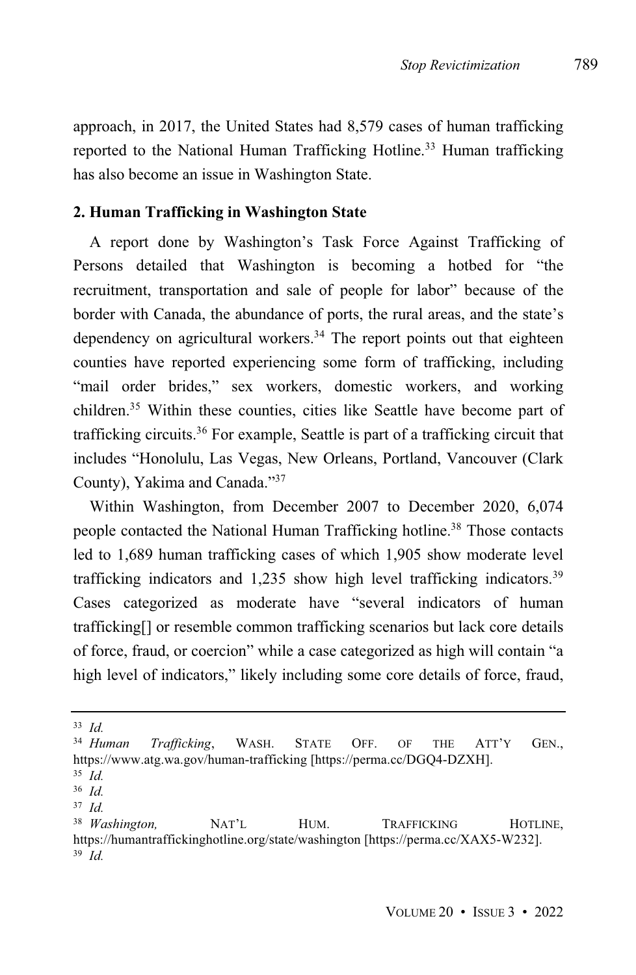approach, in 2017, the United States had 8,579 cases of human trafficking reported to the National Human Trafficking Hotline.<sup>33</sup> Human trafficking has also become an issue in Washington State.

#### **2. Human Trafficking in Washington State**

A report done by Washington's Task Force Against Trafficking of Persons detailed that Washington is becoming a hotbed for "the recruitment, transportation and sale of people for labor" because of the border with Canada, the abundance of ports, the rural areas, and the state's dependency on agricultural workers.<sup>34</sup> The report points out that eighteen counties have reported experiencing some form of trafficking, including "mail order brides," sex workers, domestic workers, and working children. <sup>35</sup> Within these counties, cities like Seattle have become part of trafficking circuits.<sup>36</sup> For example, Seattle is part of a trafficking circuit that includes "Honolulu, Las Vegas, New Orleans, Portland, Vancouver (Clark County), Yakima and Canada." 37

Within Washington, from December 2007 to December 2020, 6,074 people contacted the National Human Trafficking hotline.<sup>38</sup> Those contacts led to 1,689 human trafficking cases of which 1,905 show moderate level trafficking indicators and 1,235 show high level trafficking indicators.<sup>39</sup> Cases categorized as moderate have "several indicators of human trafficking[] or resemble common trafficking scenarios but lack core details of force, fraud, or coercion" while a case categorized as high will contain "a high level of indicators," likely including some core details of force, fraud,

<sup>33</sup> *Id.* <sup>34</sup> *Human Trafficking*, WASH. STATE OFF. OF THE ATT'Y GEN., https://www.atg.wa.gov/human-trafficking [https://perma.cc/DGQ4-DZXH].

<sup>35</sup> *Id.*

<sup>36</sup> *Id.*

<sup>37</sup> *Id.*

<sup>38</sup> *Washington,* NAT'L HUM. TRAFFICKING HOTLINE, https://humantraffickinghotline.org/state/washington [https://perma.cc/XAX5-W232]. <sup>39</sup> *Id.*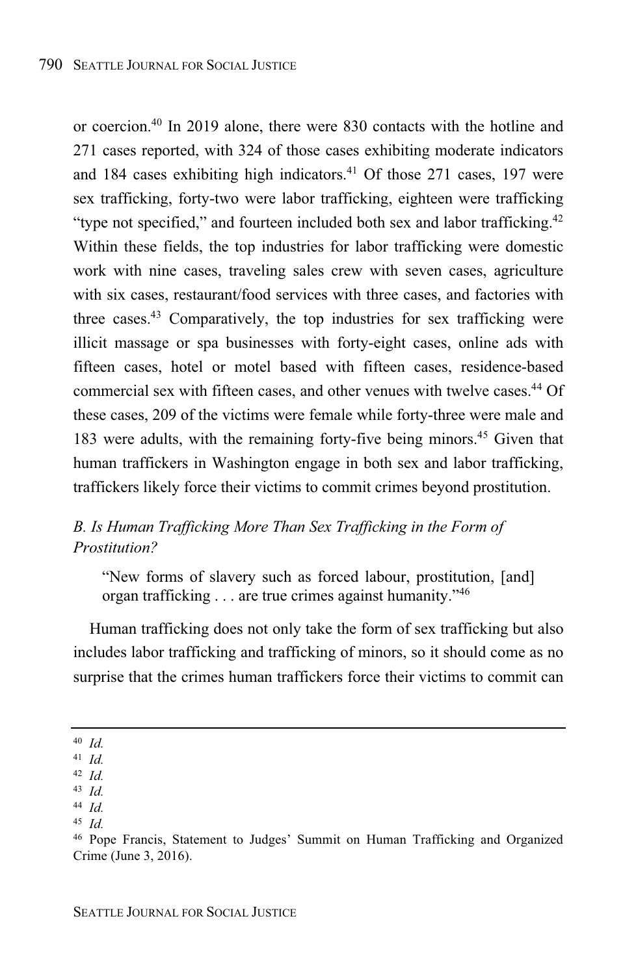or coercion.<sup>40</sup> In 2019 alone, there were 830 contacts with the hotline and 271 cases reported, with 324 of those cases exhibiting moderate indicators and 184 cases exhibiting high indicators.<sup>41</sup> Of those 271 cases, 197 were sex trafficking, forty-two were labor trafficking, eighteen were trafficking "type not specified," and fourteen included both sex and labor trafficking.<sup>42</sup> Within these fields, the top industries for labor trafficking were domestic work with nine cases, traveling sales crew with seven cases, agriculture with six cases, restaurant/food services with three cases, and factories with three cases. <sup>43</sup> Comparatively, the top industries for sex trafficking were illicit massage or spa businesses with forty-eight cases, online ads with fifteen cases, hotel or motel based with fifteen cases, residence-based commercial sex with fifteen cases, and other venues with twelve cases.<sup>44</sup> Of these cases, 209 of the victims were female while forty-three were male and 183 were adults, with the remaining forty-five being minors.<sup>45</sup> Given that human traffickers in Washington engage in both sex and labor trafficking, traffickers likely force their victims to commit crimes beyond prostitution.

## *B. Is Human Trafficking More Than Sex Trafficking in the Form of Prostitution?*

"New forms of slavery such as forced labour, prostitution, [and] organ trafficking . . . are true crimes against humanity."<sup>46</sup>

Human trafficking does not only take the form of sex trafficking but also includes labor trafficking and trafficking of minors, so it should come as no surprise that the crimes human traffickers force their victims to commit can

<sup>40</sup> *Id.*

<sup>41</sup> *Id.*

<sup>42</sup> *Id.*

<sup>43</sup> *Id.*

<sup>44</sup> *Id.*

<sup>45</sup> *Id.*

<sup>46</sup> Pope Francis, Statement to Judges' Summit on Human Trafficking and Organized Crime (June 3, 2016).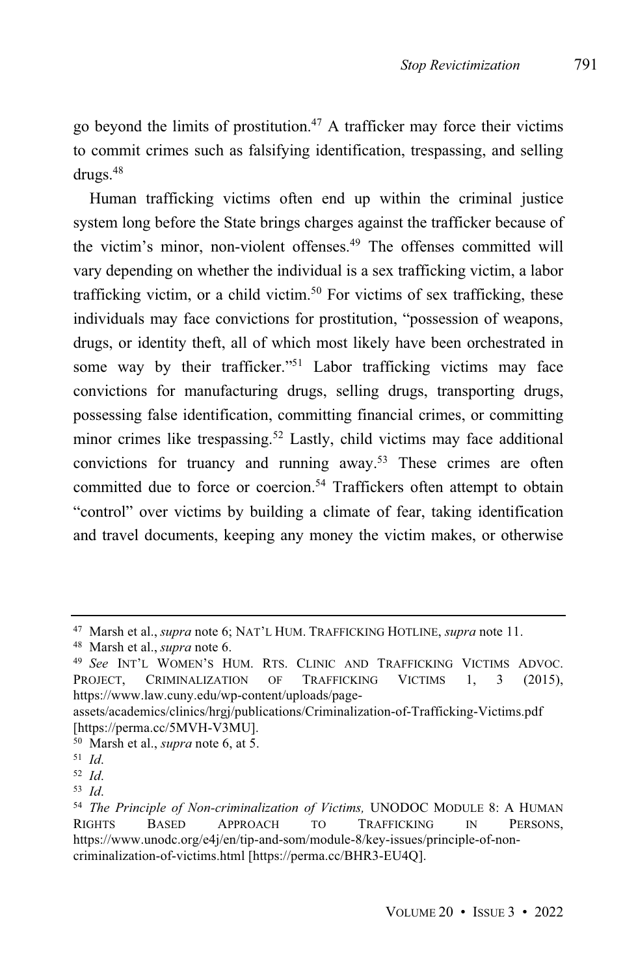go beyond the limits of prostitution.<sup>47</sup> A trafficker may force their victims to commit crimes such as falsifying identification, trespassing, and selling drugs.<sup>48</sup>

Human trafficking victims often end up within the criminal justice system long before the State brings charges against the trafficker because of the victim's minor, non-violent offenses.<sup>49</sup> The offenses committed will vary depending on whether the individual is a sex trafficking victim, a labor trafficking victim, or a child victim. <sup>50</sup> For victims of sex trafficking, these individuals may face convictions for prostitution, "possession of weapons, drugs, or identity theft, all of which most likely have been orchestrated in some way by their trafficker."<sup>51</sup> Labor trafficking victims may face convictions for manufacturing drugs, selling drugs, transporting drugs, possessing false identification, committing financial crimes, or committing minor crimes like trespassing.<sup>52</sup> Lastly, child victims may face additional convictions for truancy and running away. <sup>53</sup> These crimes are often committed due to force or coercion.<sup>54</sup> Traffickers often attempt to obtain "control" over victims by building a climate of fear, taking identification and travel documents, keeping any money the victim makes, or otherwise

<sup>47</sup> Marsh et al., *supra* note 6; NAT'L HUM. TRAFFICKING HOTLINE, *supra* note 11.

<sup>48</sup> Marsh et al., *supra* note 6.

<sup>49</sup> *See* INT'L WOMEN'S HUM. RTS. CLINIC AND TRAFFICKING VICTIMS ADVOC. PROJECT, CRIMINALIZATION OF TRAFFICKING VICTIMS 1, 3 (2015), https://www.law.cuny.edu/wp-content/uploads/page-

assets/academics/clinics/hrgj/publications/Criminalization-of-Trafficking-Victims.pdf [https://perma.cc/5MVH-V3MU].

<sup>50</sup> Marsh et al., *supra* note 6, at 5.

<sup>51</sup> *Id*.

<sup>52</sup> *Id*.

<sup>53</sup> *Id*.

<sup>54</sup> *The Principle of Non-criminalization of Victims,* UNODOC MODULE 8: A HUMAN RIGHTS BASED APPROACH TO TRAFFICKING IN PERSONS, https://www.unodc.org/e4j/en/tip-and-som/module-8/key-issues/principle-of-noncriminalization-of-victims.html [https://perma.cc/BHR3-EU4Q].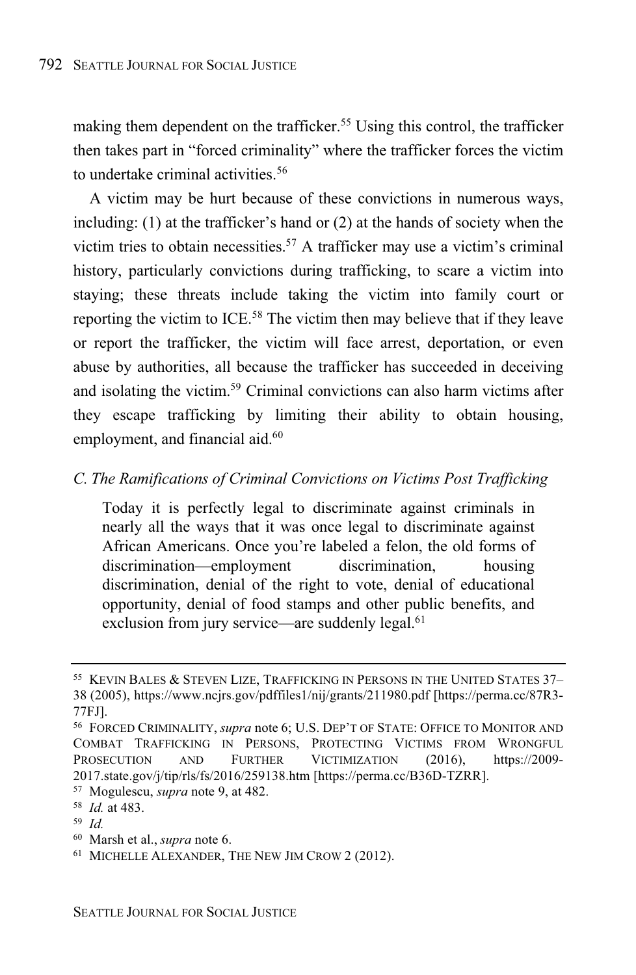making them dependent on the trafficker. <sup>55</sup> Using this control, the trafficker then takes part in "forced criminality" where the trafficker forces the victim to undertake criminal activities.<sup>56</sup>

A victim may be hurt because of these convictions in numerous ways, including: (1) at the trafficker's hand or (2) at the hands of society when the victim tries to obtain necessities. <sup>57</sup> A trafficker may use a victim's criminal history, particularly convictions during trafficking, to scare a victim into staying; these threats include taking the victim into family court or reporting the victim to ICE.<sup>58</sup> The victim then may believe that if they leave or report the trafficker, the victim will face arrest, deportation, or even abuse by authorities, all because the trafficker has succeeded in deceiving and isolating the victim.<sup>59</sup> Criminal convictions can also harm victims after they escape trafficking by limiting their ability to obtain housing, employment, and financial aid.<sup>60</sup>

#### *C. The Ramifications of Criminal Convictions on Victims Post Trafficking*

Today it is perfectly legal to discriminate against criminals in nearly all the ways that it was once legal to discriminate against African Americans. Once you're labeled a felon, the old forms of discrimination—employment discrimination, housing discrimination, denial of the right to vote, denial of educational opportunity, denial of food stamps and other public benefits, and exclusion from jury service—are suddenly legal.<sup>61</sup>

<sup>59</sup> *Id.*

<sup>55</sup> KEVIN BALES & STEVEN LIZE, TRAFFICKING IN PERSONS IN THE UNITED STATES 37– 38 (2005), https://www.ncjrs.gov/pdffiles1/nij/grants/211980.pdf [https://perma.cc/87R3- 77FJ].

<sup>56</sup> FORCED CRIMINALITY, *supra* note 6; U.S. DEP'T OF STATE: OFFICE TO MONITOR AND COMBAT TRAFFICKING IN PERSONS, PROTECTING VICTIMS FROM WRONGFUL PROSECUTION AND FURTHER VICTIMIZATION (2016), https://2009- 2017.state.gov/j/tip/rls/fs/2016/259138.htm [https://perma.cc/B36D-TZRR].

<sup>57</sup> Mogulescu, *supra* note 9, at 482.

<sup>58</sup> *Id.* at 483.

<sup>60</sup> Marsh et al., *supra* note 6.

<sup>61</sup> MICHELLE ALEXANDER, THE NEW JIM CROW 2 (2012).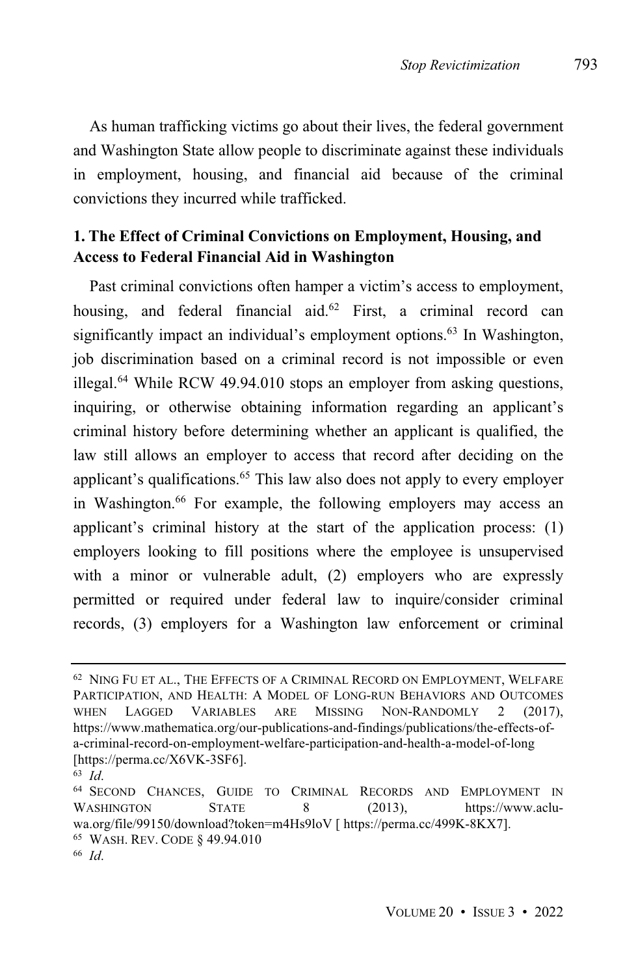As human trafficking victims go about their lives, the federal government and Washington State allow people to discriminate against these individuals in employment, housing, and financial aid because of the criminal convictions they incurred while trafficked.

## **1. The Effect of Criminal Convictions on Employment, Housing, and Access to Federal Financial Aid in Washington**

Past criminal convictions often hamper a victim's access to employment, housing, and federal financial aid.<sup>62</sup> First, a criminal record can significantly impact an individual's employment options. $63$  In Washington, job discrimination based on a criminal record is not impossible or even illegal. $64$  While RCW 49.94.010 stops an employer from asking questions, inquiring, or otherwise obtaining information regarding an applicant's criminal history before determining whether an applicant is qualified, the law still allows an employer to access that record after deciding on the applicant's qualifications.<sup>65</sup> This law also does not apply to every employer in Washington.<sup>66</sup> For example, the following employers may access an applicant's criminal history at the start of the application process: (1) employers looking to fill positions where the employee is unsupervised with a minor or vulnerable adult, (2) employers who are expressly permitted or required under federal law to inquire/consider criminal records, (3) employers for a Washington law enforcement or criminal

<sup>62</sup> NING FU ET AL., THE EFFECTS OF A CRIMINAL RECORD ON EMPLOYMENT, WELFARE PARTICIPATION, AND HEALTH: A MODEL OF LONG-RUN BEHAVIORS AND OUTCOMES WHEN LAGGED VARIABLES ARE MISSING NON-RANDOMLY 2 (2017), https://www.mathematica.org/our-publications-and-findings/publications/the-effects-ofa-criminal-record-on-employment-welfare-participation-and-health-a-model-of-long [https://perma.cc/X6VK-3SF6].

<sup>63</sup> *Id*.

<sup>64</sup> SECOND CHANCES, GUIDE TO CRIMINAL RECORDS AND EMPLOYMENT IN WASHINGTON STATE 8 (2013), https://www.acluwa.org/file/99150/download?token=m4Hs9loV [ https://perma.cc/499K-8KX7]. <sup>65</sup> WASH. REV. CODE § 49.94.010

<sup>66</sup> *Id*.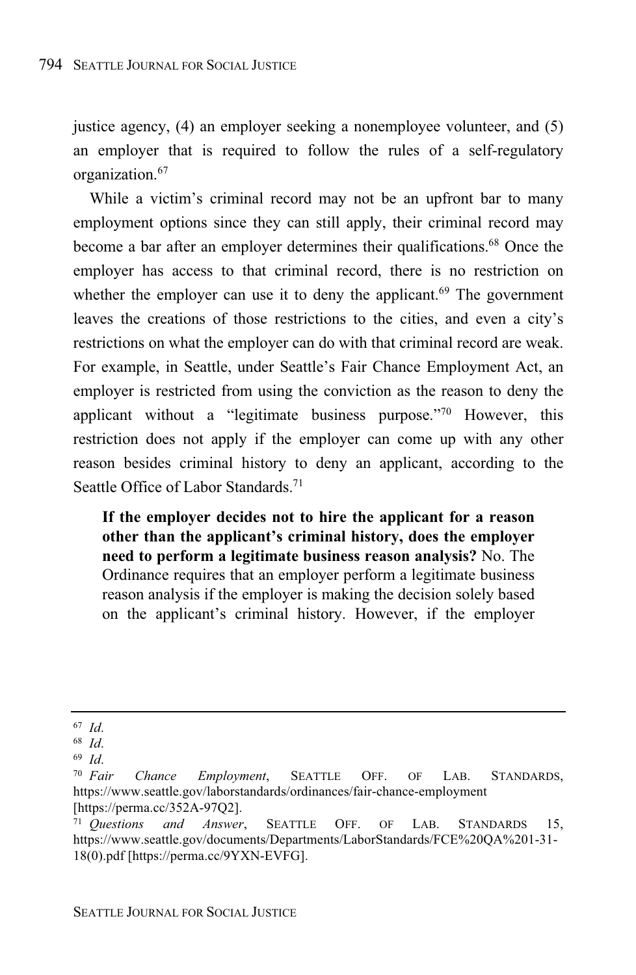justice agency, (4) an employer seeking a nonemployee volunteer, and (5) an employer that is required to follow the rules of a self-regulatory organization. 67

While a victim's criminal record may not be an upfront bar to many employment options since they can still apply, their criminal record may become a bar after an employer determines their qualifications.<sup>68</sup> Once the employer has access to that criminal record, there is no restriction on whether the employer can use it to deny the applicant. $69$  The government leaves the creations of those restrictions to the cities, and even a city's restrictions on what the employer can do with that criminal record are weak. For example, in Seattle, under Seattle's Fair Chance Employment Act, an employer is restricted from using the conviction as the reason to deny the applicant without a "legitimate business purpose." <sup>70</sup> However, this restriction does not apply if the employer can come up with any other reason besides criminal history to deny an applicant, according to the Seattle Office of Labor Standards. 71

**If the employer decides not to hire the applicant for a reason other than the applicant's criminal history, does the employer need to perform a legitimate business reason analysis?** No. The Ordinance requires that an employer perform a legitimate business reason analysis if the employer is making the decision solely based on the applicant's criminal history. However, if the employer

<sup>67</sup> *Id*.

<sup>68</sup> *Id*.

<sup>69</sup> *Id*.

<sup>70</sup> *Fair Chance Employment*, SEATTLE OFF. OF LAB. STANDARDS, https://www.seattle.gov/laborstandards/ordinances/fair-chance-employment [https://perma.cc/352A-97Q2].

<sup>71</sup> *Questions and Answer*, SEATTLE OFF. OF LAB. STANDARDS 15, https://www.seattle.gov/documents/Departments/LaborStandards/FCE%20QA%201-31- 18(0).pdf [https://perma.cc/9YXN-EVFG].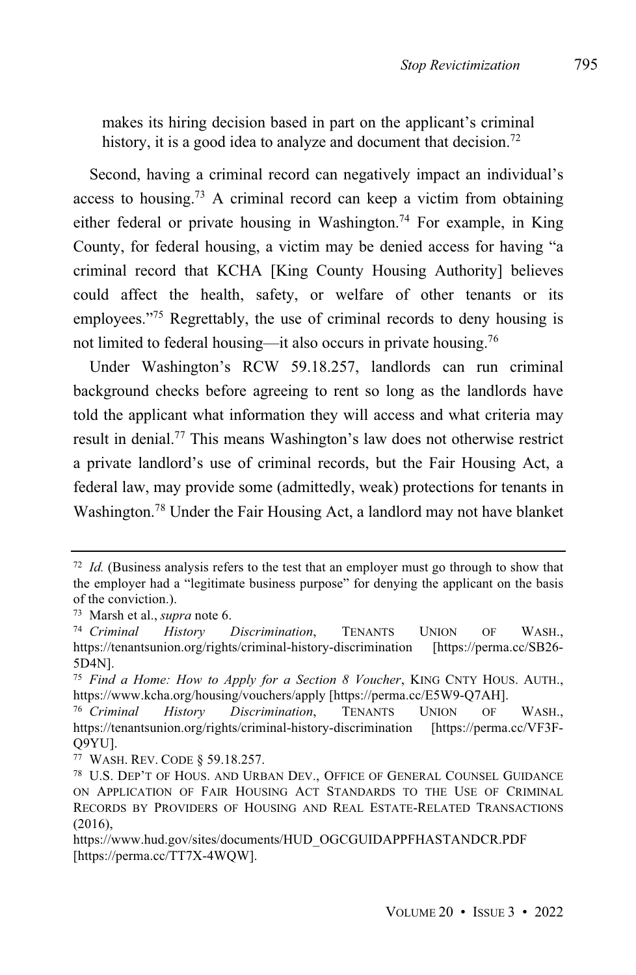makes its hiring decision based in part on the applicant's criminal history, it is a good idea to analyze and document that decision.<sup>72</sup>

Second, having a criminal record can negatively impact an individual's access to housing.<sup>73</sup> A criminal record can keep a victim from obtaining either federal or private housing in Washington. <sup>74</sup> For example, in King County, for federal housing, a victim may be denied access for having "a criminal record that KCHA [King County Housing Authority] believes could affect the health, safety, or welfare of other tenants or its employees."<sup>75</sup> Regrettably, the use of criminal records to deny housing is not limited to federal housing—it also occurs in private housing.<sup>76</sup>

Under Washington's RCW 59.18.257, landlords can run criminal background checks before agreeing to rent so long as the landlords have told the applicant what information they will access and what criteria may result in denial.<sup>77</sup> This means Washington's law does not otherwise restrict a private landlord's use of criminal records, but the Fair Housing Act, a federal law, may provide some (admittedly, weak) protections for tenants in Washington. <sup>78</sup> Under the Fair Housing Act, a landlord may not have blanket

<sup>72</sup> *Id.* (Business analysis refers to the test that an employer must go through to show that the employer had a "legitimate business purpose" for denying the applicant on the basis of the conviction.).

<sup>73</sup> Marsh et al., *supra* note 6.

<sup>74</sup> *Criminal History Discrimination*, TENANTS UNION OF WASH., https://tenantsunion.org/rights/criminal-history-discrimination [https://perma.cc/SB26- 5D4N].

<sup>75</sup> *Find a Home: How to Apply for a Section 8 Voucher*, KING CNTY HOUS. AUTH., https://www.kcha.org/housing/vouchers/apply [https://perma.cc/E5W9-Q7AH].

<sup>76</sup> *Criminal History Discrimination*, TENANTS UNION OF WASH., https://tenantsunion.org/rights/criminal-history-discrimination [https://perma.cc/VF3F-Q9YU].

<sup>77</sup> WASH. REV. CODE § 59.18.257.

<sup>78</sup> U.S. DEP'T OF HOUS. AND URBAN DEV., OFFICE OF GENERAL COUNSEL GUIDANCE ON APPLICATION OF FAIR HOUSING ACT STANDARDS TO THE USE OF CRIMINAL RECORDS BY PROVIDERS OF HOUSING AND REAL ESTATE-RELATED TRANSACTIONS  $(2016)$ ,

https://www.hud.gov/sites/documents/HUD\_OGCGUIDAPPFHASTANDCR.PDF [https://perma.cc/TT7X-4WQW].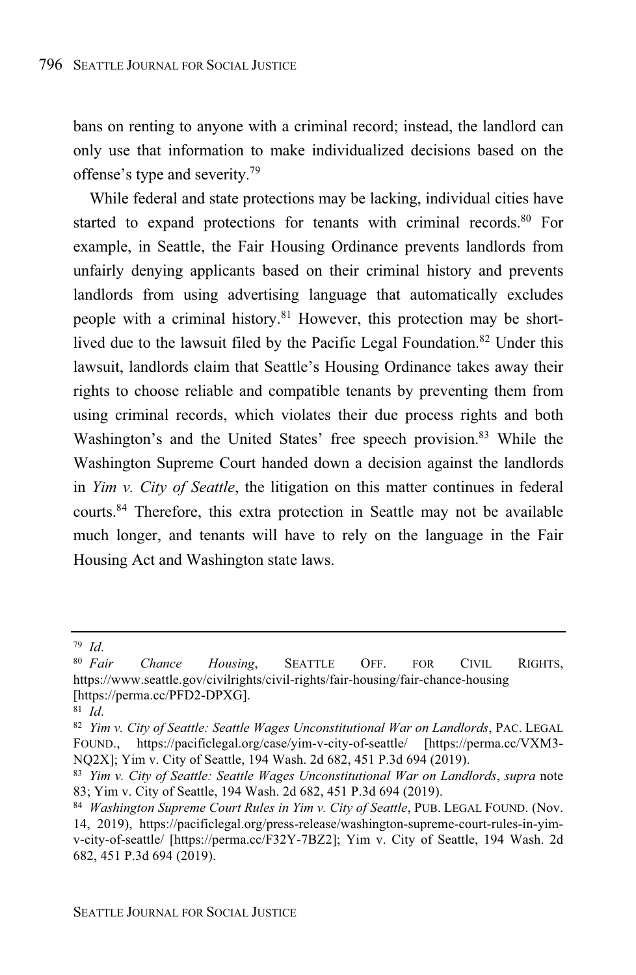bans on renting to anyone with a criminal record; instead, the landlord can only use that information to make individualized decisions based on the offense's type and severity. 79

While federal and state protections may be lacking, individual cities have started to expand protections for tenants with criminal records.<sup>80</sup> For example, in Seattle, the Fair Housing Ordinance prevents landlords from unfairly denying applicants based on their criminal history and prevents landlords from using advertising language that automatically excludes people with a criminal history.<sup>81</sup> However, this protection may be shortlived due to the lawsuit filed by the Pacific Legal Foundation.<sup>82</sup> Under this lawsuit, landlords claim that Seattle's Housing Ordinance takes away their rights to choose reliable and compatible tenants by preventing them from using criminal records, which violates their due process rights and both Washington's and the United States' free speech provision.<sup>83</sup> While the Washington Supreme Court handed down a decision against the landlords in *Yim v. City of Seattle*, the litigation on this matter continues in federal courts. <sup>84</sup> Therefore, this extra protection in Seattle may not be available much longer, and tenants will have to rely on the language in the Fair Housing Act and Washington state laws.

<sup>79</sup> *Id*.

<sup>80</sup> *Fair Chance Housing*, SEATTLE OFF. FOR CIVIL RIGHTS, https://www.seattle.gov/civilrights/civil-rights/fair-housing/fair-chance-housing [https://perma.cc/PFD2-DPXG].

<sup>81</sup> *Id*.

<sup>82</sup> *Yim v. City of Seattle: Seattle Wages Unconstitutional War on Landlords*, PAC. LEGAL FOUND., https://pacificlegal.org/case/yim-v-city-of-seattle/ [https://perma.cc/VXM3- NQ2X]; Yim v. City of Seattle, 194 Wash. 2d 682, 451 P.3d 694 (2019).

<sup>83</sup> *Yim v. City of Seattle: Seattle Wages Unconstitutional War on Landlords*, *supra* note 83; Yim v. City of Seattle, 194 Wash. 2d 682, 451 P.3d 694 (2019).

<sup>84</sup> *Washington Supreme Court Rules in Yim v. City of Seattle*, PUB. LEGAL FOUND. (Nov. 14, 2019), https://pacificlegal.org/press-release/washington-supreme-court-rules-in-yimv-city-of-seattle/ [https://perma.cc/F32Y-7BZ2]; Yim v. City of Seattle, 194 Wash. 2d 682, 451 P.3d 694 (2019).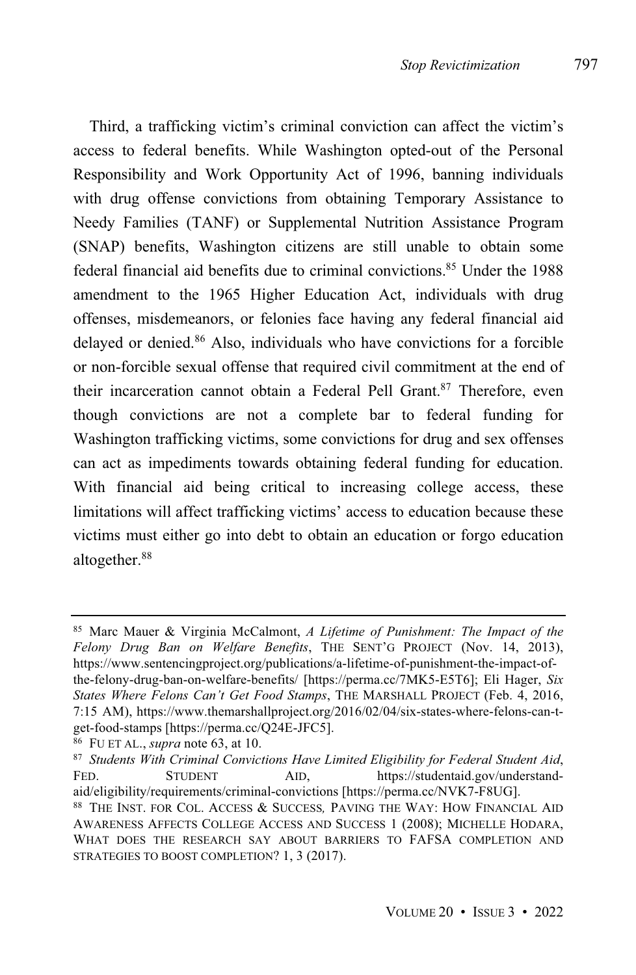Third, a trafficking victim's criminal conviction can affect the victim's access to federal benefits. While Washington opted-out of the Personal Responsibility and Work Opportunity Act of 1996, banning individuals with drug offense convictions from obtaining Temporary Assistance to Needy Families (TANF) or Supplemental Nutrition Assistance Program (SNAP) benefits, Washington citizens are still unable to obtain some federal financial aid benefits due to criminal convictions.<sup>85</sup> Under the 1988 amendment to the 1965 Higher Education Act, individuals with drug offenses, misdemeanors, or felonies face having any federal financial aid delayed or denied.<sup>86</sup> Also, individuals who have convictions for a forcible or non-forcible sexual offense that required civil commitment at the end of their incarceration cannot obtain a Federal Pell Grant.<sup>87</sup> Therefore, even though convictions are not a complete bar to federal funding for Washington trafficking victims, some convictions for drug and sex offenses can act as impediments towards obtaining federal funding for education. With financial aid being critical to increasing college access, these limitations will affect trafficking victims' access to education because these victims must either go into debt to obtain an education or forgo education altogether.<sup>88</sup>

<sup>85</sup> Marc Mauer & Virginia McCalmont, *A Lifetime of Punishment: The Impact of the Felony Drug Ban on Welfare Benefits*, THE SENT'G PROJECT (Nov. 14, 2013), https://www.sentencingproject.org/publications/a-lifetime-of-punishment-the-impact-ofthe-felony-drug-ban-on-welfare-benefits/ [https://perma.cc/7MK5-E5T6]; Eli Hager, *Six States Where Felons Can't Get Food Stamps*, THE MARSHALL PROJECT (Feb. 4, 2016, 7:15 AM), https://www.themarshallproject.org/2016/02/04/six-states-where-felons-can-tget-food-stamps [https://perma.cc/Q24E-JFC5].

<sup>86</sup> FU ET AL., *supra* note 63, at 10.

<sup>87</sup> *Students With Criminal Convictions Have Limited Eligibility for Federal Student Aid*, FED. STUDENT AID, https://studentaid.gov/understandaid/eligibility/requirements/criminal-convictions [https://perma.cc/NVK7-F8UG].

<sup>88</sup> THE INST. FOR COL. ACCESS & SUCCESS*,* PAVING THE WAY: HOW FINANCIAL AID AWARENESS AFFECTS COLLEGE ACCESS AND SUCCESS 1 (2008); MICHELLE HODARA, WHAT DOES THE RESEARCH SAY ABOUT BARRIERS TO FAFSA COMPLETION AND STRATEGIES TO BOOST COMPLETION? 1, 3 (2017).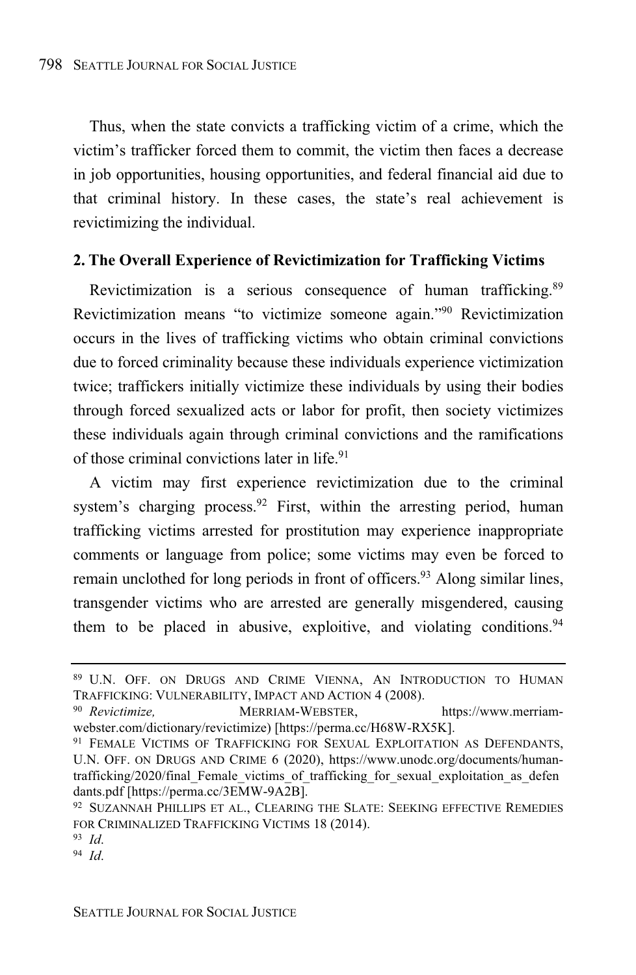Thus, when the state convicts a trafficking victim of a crime, which the victim's trafficker forced them to commit, the victim then faces a decrease in job opportunities, housing opportunities, and federal financial aid due to that criminal history. In these cases, the state's real achievement is revictimizing the individual.

#### **2. The Overall Experience of Revictimization for Trafficking Victims**

Revictimization is a serious consequence of human trafficking.<sup>89</sup> Revictimization means "to victimize someone again." <sup>90</sup> Revictimization occurs in the lives of trafficking victims who obtain criminal convictions due to forced criminality because these individuals experience victimization twice; traffickers initially victimize these individuals by using their bodies through forced sexualized acts or labor for profit, then society victimizes these individuals again through criminal convictions and the ramifications of those criminal convictions later in life. 91

A victim may first experience revictimization due to the criminal system's charging process.<sup>92</sup> First, within the arresting period, human trafficking victims arrested for prostitution may experience inappropriate comments or language from police; some victims may even be forced to remain unclothed for long periods in front of officers.<sup>93</sup> Along similar lines, transgender victims who are arrested are generally misgendered, causing them to be placed in abusive, exploitive, and violating conditions.  $94$ 

<sup>89</sup> U.N. OFF. ON DRUGS AND CRIME VIENNA, AN INTRODUCTION TO HUMAN TRAFFICKING: VULNERABILITY, IMPACT AND ACTION 4 (2008).

<sup>&</sup>lt;sup>90</sup> Revictimize, MERRIAM-WEBSTER, https://www.merriamwebster.com/dictionary/revictimize) [https://perma.cc/H68W-RX5K].

<sup>91</sup> FEMALE VICTIMS OF TRAFFICKING FOR SEXUAL EXPLOITATION AS DEFENDANTS, U.N. OFF. ON DRUGS AND CRIME 6 (2020), https://www.unodc.org/documents/humantrafficking/2020/final\_Female\_victims\_of\_trafficking\_for\_sexual\_exploitation\_as\_defen dants.pdf [https://perma.cc/3EMW-9A2B].

<sup>&</sup>lt;sup>92</sup> SUZANNAH PHILLIPS ET AL., CLEARING THE SLATE: SEEKING EFFECTIVE REMEDIES FOR CRIMINALIZED TRAFFICKING VICTIMS 18 (2014).

<sup>93</sup> *Id*.

<sup>94</sup> *Id*.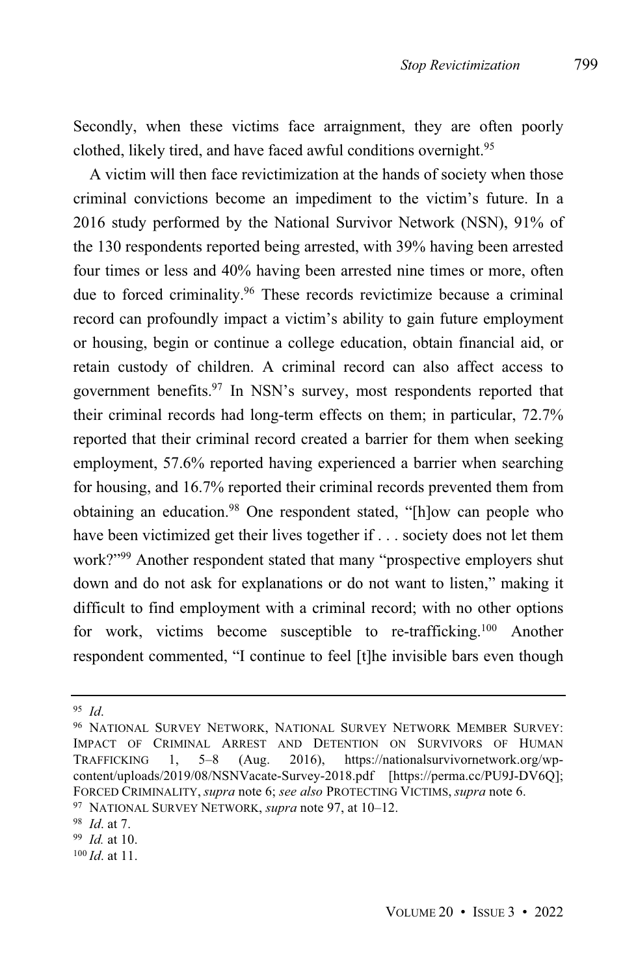Secondly, when these victims face arraignment, they are often poorly clothed, likely tired, and have faced awful conditions overnight.<sup>95</sup>

A victim will then face revictimization at the hands of society when those criminal convictions become an impediment to the victim's future. In a 2016 study performed by the National Survivor Network (NSN), 91% of the 130 respondents reported being arrested, with 39% having been arrested four times or less and 40% having been arrested nine times or more, often due to forced criminality. <sup>96</sup> These records revictimize because a criminal record can profoundly impact a victim's ability to gain future employment or housing, begin or continue a college education, obtain financial aid, or retain custody of children. A criminal record can also affect access to government benefits. <sup>97</sup> In NSN's survey, most respondents reported that their criminal records had long-term effects on them; in particular, 72.7% reported that their criminal record created a barrier for them when seeking employment, 57.6% reported having experienced a barrier when searching for housing, and 16.7% reported their criminal records prevented them from obtaining an education.<sup>98</sup> One respondent stated, "[h]ow can people who have been victimized get their lives together if . . . society does not let them work?"<sup>99</sup> Another respondent stated that many "prospective employers shut down and do not ask for explanations or do not want to listen," making it difficult to find employment with a criminal record; with no other options for work, victims become susceptible to re-trafficking.<sup>100</sup> Another respondent commented, "I continue to feel [t]he invisible bars even though

<sup>95</sup> *Id*.

<sup>96</sup> NATIONAL SURVEY NETWORK, NATIONAL SURVEY NETWORK MEMBER SURVEY: IMPACT OF CRIMINAL ARREST AND DETENTION ON SURVIVORS OF HUMAN TRAFFICKING 1, 5–8 (Aug. 2016), https://nationalsurvivornetwork.org/wpcontent/uploads/2019/08/NSNVacate-Survey-2018.pdf [https://perma.cc/PU9J-DV6Q]; FORCED CRIMINALITY, *supra* note 6; *see also* PROTECTING VICTIMS, *supra* note 6. <sup>97</sup> NATIONAL SURVEY NETWORK, *supra* note 97, at 10–12.

<sup>98</sup> *Id*. at 7.

<sup>99</sup> *Id.* at 10.

<sup>100</sup> *Id*. at 11.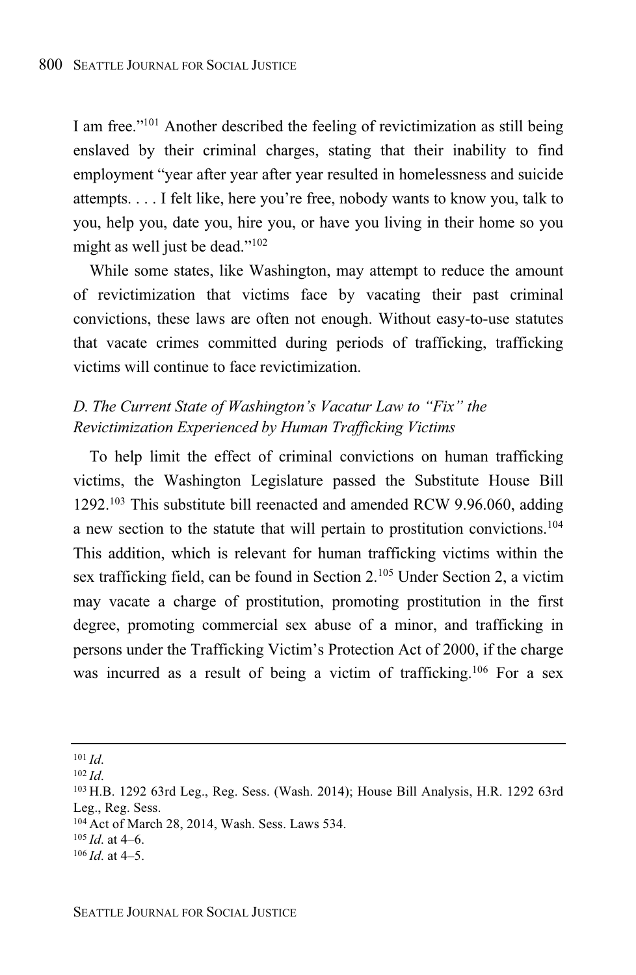I am free."<sup>101</sup> Another described the feeling of revictimization as still being enslaved by their criminal charges, stating that their inability to find employment "year after year after year resulted in homelessness and suicide attempts. . . . I felt like, here you're free, nobody wants to know you, talk to you, help you, date you, hire you, or have you living in their home so you might as well just be dead."<sup>102</sup>

While some states, like Washington, may attempt to reduce the amount of revictimization that victims face by vacating their past criminal convictions, these laws are often not enough. Without easy-to-use statutes that vacate crimes committed during periods of trafficking, trafficking victims will continue to face revictimization.

## *D. The Current State of Washington's Vacatur Law to "Fix" the Revictimization Experienced by Human Trafficking Victims*

To help limit the effect of criminal convictions on human trafficking victims, the Washington Legislature passed the Substitute House Bill  $1292$ <sup>103</sup> This substitute bill reenacted and amended RCW 9.96.060, adding a new section to the statute that will pertain to prostitution convictions.<sup>104</sup> This addition, which is relevant for human trafficking victims within the sex trafficking field, can be found in Section 2.<sup>105</sup> Under Section 2, a victim may vacate a charge of prostitution, promoting prostitution in the first degree, promoting commercial sex abuse of a minor, and trafficking in persons under the Trafficking Victim's Protection Act of 2000, if the charge was incurred as a result of being a victim of trafficking.<sup>106</sup> For a sex

<sup>101</sup> *Id*.

<sup>102</sup> *Id*.

<sup>103</sup> H.B. 1292 63rd Leg., Reg. Sess. (Wash. 2014); House Bill Analysis, H.R. 1292 63rd Leg., Reg. Sess.

<sup>104</sup> Act of March 28, 2014, Wash. Sess. Laws 534.

 $105$  *Id.* at 4–6.

<sup>106</sup> *Id*. at 4–5.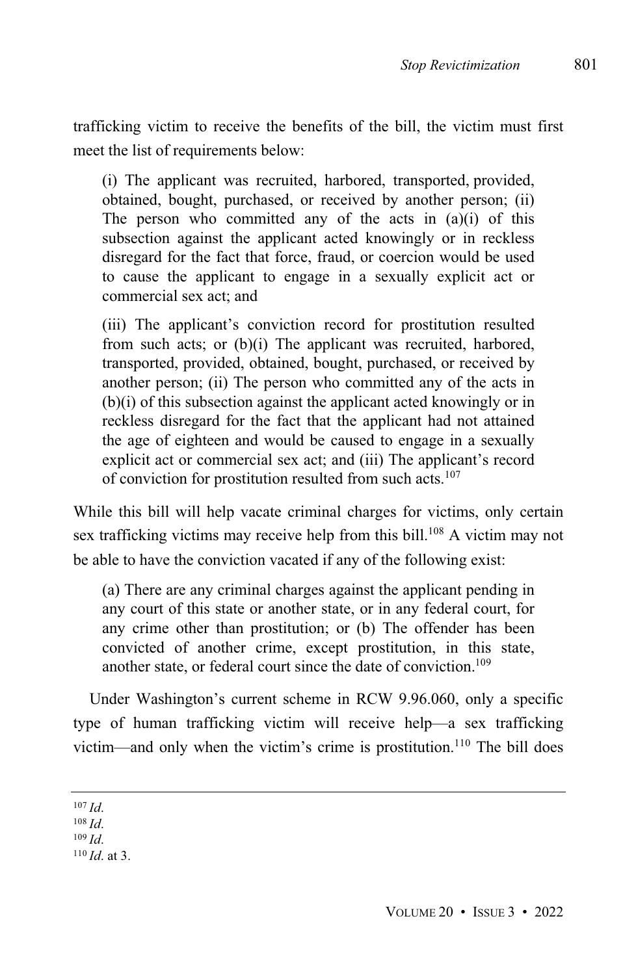trafficking victim to receive the benefits of the bill, the victim must first meet the list of requirements below:

(i) The applicant was recruited, harbored, transported, provided, obtained, bought, purchased, or received by another person; (ii) The person who committed any of the acts in  $(a)(i)$  of this subsection against the applicant acted knowingly or in reckless disregard for the fact that force, fraud, or coercion would be used to cause the applicant to engage in a sexually explicit act or commercial sex act; and

(iii) The applicant's conviction record for prostitution resulted from such acts; or (b)(i) The applicant was recruited, harbored, transported, provided, obtained, bought, purchased, or received by another person; (ii) The person who committed any of the acts in (b)(i) of this subsection against the applicant acted knowingly or in reckless disregard for the fact that the applicant had not attained the age of eighteen and would be caused to engage in a sexually explicit act or commercial sex act; and (iii) The applicant's record of conviction for prostitution resulted from such acts.<sup>107</sup>

While this bill will help vacate criminal charges for victims, only certain sex trafficking victims may receive help from this bill.<sup>108</sup> A victim may not be able to have the conviction vacated if any of the following exist:

(a) There are any criminal charges against the applicant pending in any court of this state or another state, or in any federal court, for any crime other than prostitution; or (b) The offender has been convicted of another crime, except prostitution, in this state, another state, or federal court since the date of conviction. 109

Under Washington's current scheme in RCW 9.96.060, only a specific type of human trafficking victim will receive help—a sex trafficking victim—and only when the victim's crime is prostitution.<sup>110</sup> The bill does

 $107$  *Id.* 

- <sup>108</sup> *Id*.
- <sup>109</sup> *Id*.
- <sup>110</sup> *Id*. at 3.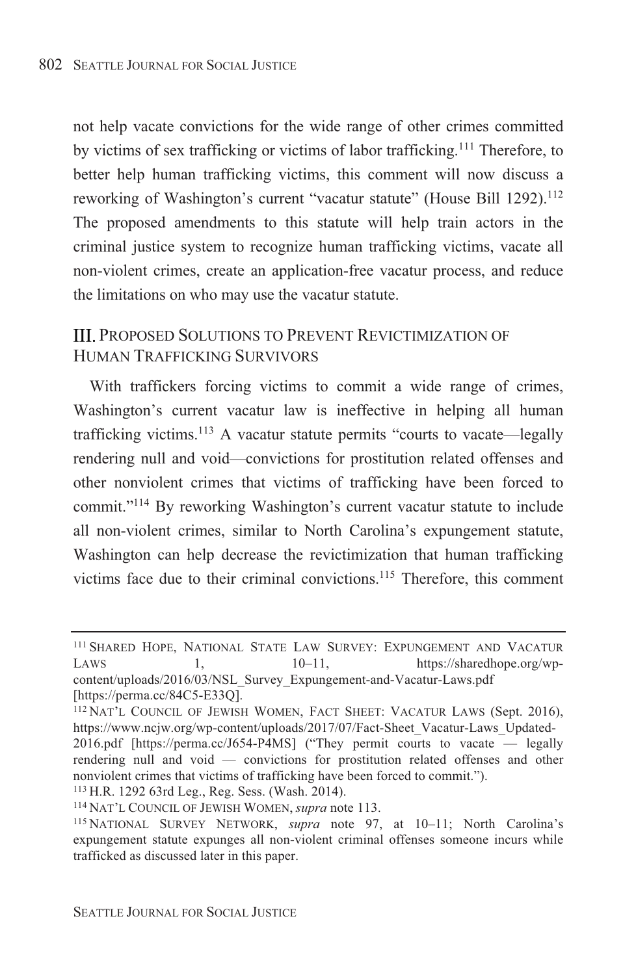not help vacate convictions for the wide range of other crimes committed by victims of sex trafficking or victims of labor trafficking.<sup>111</sup> Therefore, to better help human trafficking victims, this comment will now discuss a reworking of Washington's current "vacatur statute" (House Bill 1292).<sup>112</sup> The proposed amendments to this statute will help train actors in the criminal justice system to recognize human trafficking victims, vacate all  $\alpha$  non-violent crimes, create an application-free vacatur process, and reduce the limitations on who may use the vacatur statute.

## **III. PROPOSED SOLUTIONS TO PREVENT REVICTIMIZATION OF** HUMAN TRAFFICKING SURVIVORS

With traffickers forcing victims to commit a wide range of crimes, Washington's current vacatur law is ineffective in helping all human trafficking victims.<sup>113</sup> A vacatur statute permits "courts to vacate—legally rendering null and void—convictions for prostitution related offenses and other nonviolent crimes that victims of trafficking have been forced to commit."<sup>114</sup> By reworking Washington's current vacatur statute to include all non-violent crimes, similar to North Carolina's expungement statute, Washington can help decrease the revictimization that human trafficking victims face due to their criminal convictions.<sup>115</sup> Therefore, this comment

<sup>113</sup> H.R. 1292 63rd Leg., Reg. Sess. (Wash. 2014).

<sup>&</sup>lt;sup>111</sup> SHARED HOPE, NATIONAL STATE LAW SURVEY: EXPUNGEMENT AND VACATUR LAWS 1,  $10-11$ , https://sharedhope.org/wpcontent/uploads/2016/03/NSL Survey Expungement-and-Vacatur-Laws.pdf  $[https://perma.co/84C5-E33O].$ 

<sup>&</sup>lt;sup>112</sup> NAT'L COUNCIL OF JEWISH WOMEN, FACT SHEET: VACATUR LAWS (Sept. 2016), https://www.ncjw.org/wp-content/uploads/2017/07/Fact-Sheet Vacatur-Laws Updated-2016.pdf [https://perma.cc/J654-P4MS] ("They permit courts to vacate  $-$  legally rendering null and void  $-$  convictions for prostitution related offenses and other nonviolent crimes that victims of trafficking have been forced to commit.").

<sup>&</sup>lt;sup>114</sup> NAT'L COUNCIL OF JEWISH WOMEN, *supra* note 113.

<sup>&</sup>lt;sup>115</sup> NATIONAL SURVEY NETWORK, *supra* note 97, at 10-11; North Carolina's expungement statute expunges all non-violent criminal offenses someone incurs while trafficked as discussed later in this paper.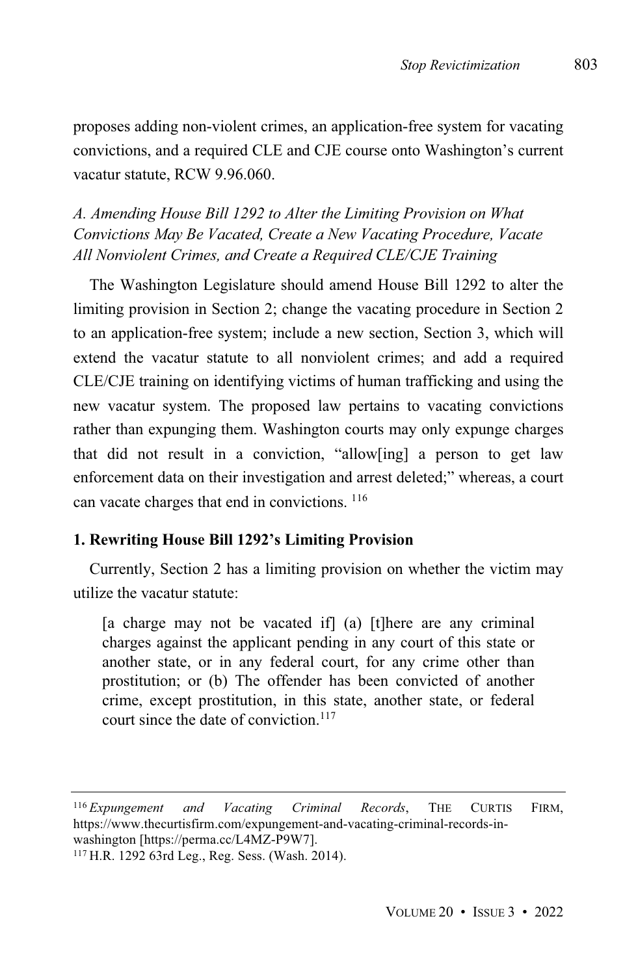proposes adding non-violent crimes, an application-free system for vacating convictions, and a required CLE and CJE course onto Washington's current vacatur statute, RCW 9.96.060.

*A. Amending House Bill 1292 to Alter the Limiting Provision on What Convictions May Be Vacated, Create a New Vacating Procedure, Vacate All Nonviolent Crimes, and Create a Required CLE/CJE Training*

The Washington Legislature should amend House Bill 1292 to alter the limiting provision in Section 2; change the vacating procedure in Section 2 to an application-free system; include a new section, Section 3, which will extend the vacatur statute to all nonviolent crimes; and add a required CLE/CJE training on identifying victims of human trafficking and using the new vacatur system. The proposed law pertains to vacating convictions rather than expunging them. Washington courts may only expunge charges that did not result in a conviction, "allow[ing] a person to get law enforcement data on their investigation and arrest deleted;" whereas, a court can vacate charges that end in convictions. <sup>116</sup>

## **1. Rewriting House Bill 1292's Limiting Provision**

Currently, Section 2 has a limiting provision on whether the victim may utilize the vacatur statute:

[a charge may not be vacated if] (a) [t]here are any criminal charges against the applicant pending in any court of this state or another state, or in any federal court, for any crime other than prostitution; or (b) The offender has been convicted of another crime, except prostitution, in this state, another state, or federal court since the date of conviction. 117

<sup>116</sup> *Expungement and Vacating Criminal Records*, THE CURTIS FIRM, https://www.thecurtisfirm.com/expungement-and-vacating-criminal-records-inwashington [https://perma.cc/L4MZ-P9W7].

<sup>117</sup> H.R. 1292 63rd Leg., Reg. Sess. (Wash. 2014).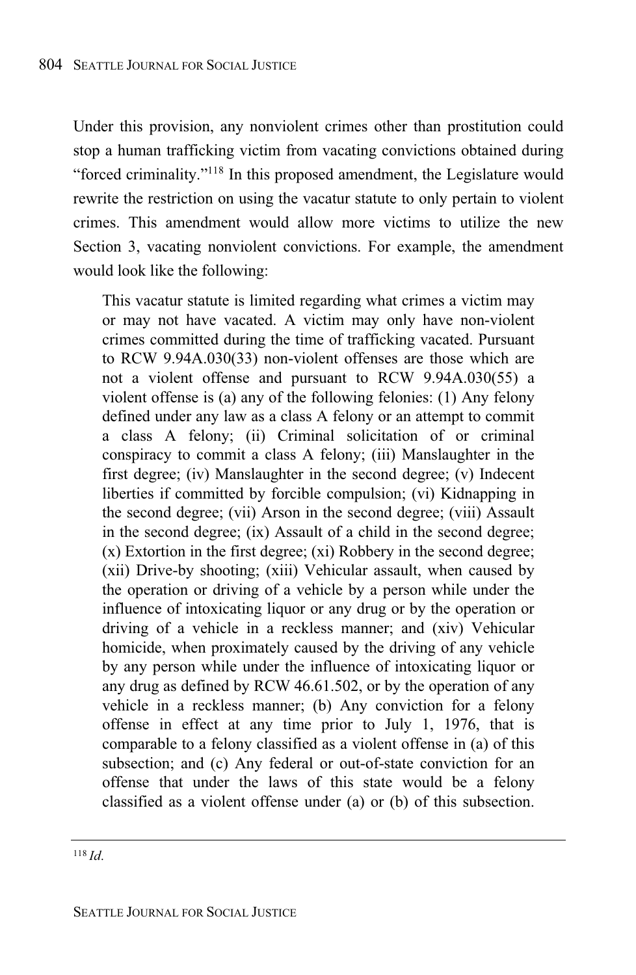Under this provision, any nonviolent crimes other than prostitution could stop a human trafficking victim from vacating convictions obtained during "forced criminality."<sup>118</sup> In this proposed amendment, the Legislature would rewrite the restriction on using the vacatur statute to only pertain to violent crimes. This amendment would allow more victims to utilize the new Section 3, vacating nonviolent convictions. For example, the amendment would look like the following:

This vacatur statute is limited regarding what crimes a victim may or may not have vacated. A victim may only have non-violent crimes committed during the time of trafficking vacated. Pursuant to RCW 9.94A.030(33) non-violent offenses are those which are not a violent offense and pursuant to RCW 9.94A.030(55) a violent offense is (a) any of the following felonies: (1) Any felony defined under any law as a class A felony or an attempt to commit a class A felony; (ii) Criminal solicitation of or criminal conspiracy to commit a class A felony; (iii) Manslaughter in the first degree; (iv) Manslaughter in the second degree; (v) Indecent liberties if committed by forcible compulsion; (vi) Kidnapping in the second degree; (vii) Arson in the second degree; (viii) Assault in the second degree; (ix) Assault of a child in the second degree; (x) Extortion in the first degree; (xi) Robbery in the second degree; (xii) Drive-by shooting; (xiii) Vehicular assault, when caused by the operation or driving of a vehicle by a person while under the influence of intoxicating liquor or any drug or by the operation or driving of a vehicle in a reckless manner; and (xiv) Vehicular homicide, when proximately caused by the driving of any vehicle by any person while under the influence of intoxicating liquor or any drug as defined by RCW 46.61.502, or by the operation of any vehicle in a reckless manner; (b) Any conviction for a felony offense in effect at any time prior to July 1, 1976, that is comparable to a felony classified as a violent offense in (a) of this subsection; and (c) Any federal or out-of-state conviction for an offense that under the laws of this state would be a felony classified as a violent offense under (a) or (b) of this subsection.

<sup>118</sup> *Id*.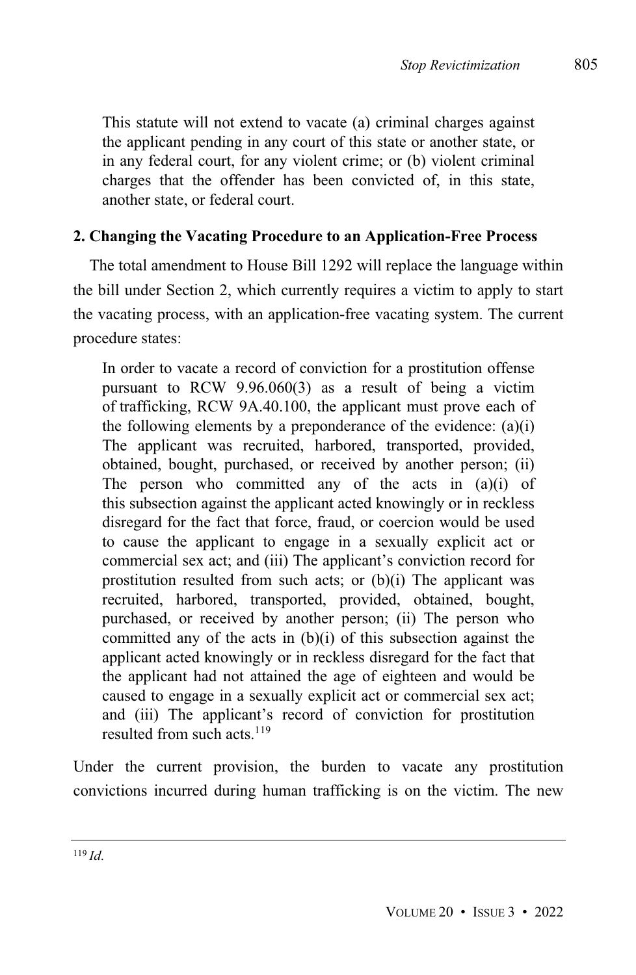This statute will not extend to vacate (a) criminal charges against the applicant pending in any court of this state or another state, or in any federal court, for any violent crime; or (b) violent criminal charges that the offender has been convicted of, in this state, another state, or federal court.

## **2. Changing the Vacating Procedure to an Application-Free Process**

The total amendment to House Bill 1292 will replace the language within the bill under Section 2, which currently requires a victim to apply to start the vacating process, with an application-free vacating system. The current procedure states:

In order to vacate a record of conviction for a prostitution offense pursuant to RCW 9.96.060(3) as a result of being a victim of trafficking, RCW 9A.40.100, the applicant must prove each of the following elements by a preponderance of the evidence:  $(a)(i)$ The applicant was recruited, harbored, transported, provided, obtained, bought, purchased, or received by another person; (ii) The person who committed any of the acts in (a)(i) of this subsection against the applicant acted knowingly or in reckless disregard for the fact that force, fraud, or coercion would be used to cause the applicant to engage in a sexually explicit act or commercial sex act; and (iii) The applicant's conviction record for prostitution resulted from such acts; or (b)(i) The applicant was recruited, harbored, transported, provided, obtained, bought, purchased, or received by another person; (ii) The person who committed any of the acts in (b)(i) of this subsection against the applicant acted knowingly or in reckless disregard for the fact that the applicant had not attained the age of eighteen and would be caused to engage in a sexually explicit act or commercial sex act; and (iii) The applicant's record of conviction for prostitution resulted from such acts  $119$ 

Under the current provision, the burden to vacate any prostitution convictions incurred during human trafficking is on the victim. The new

<sup>119</sup> *Id*.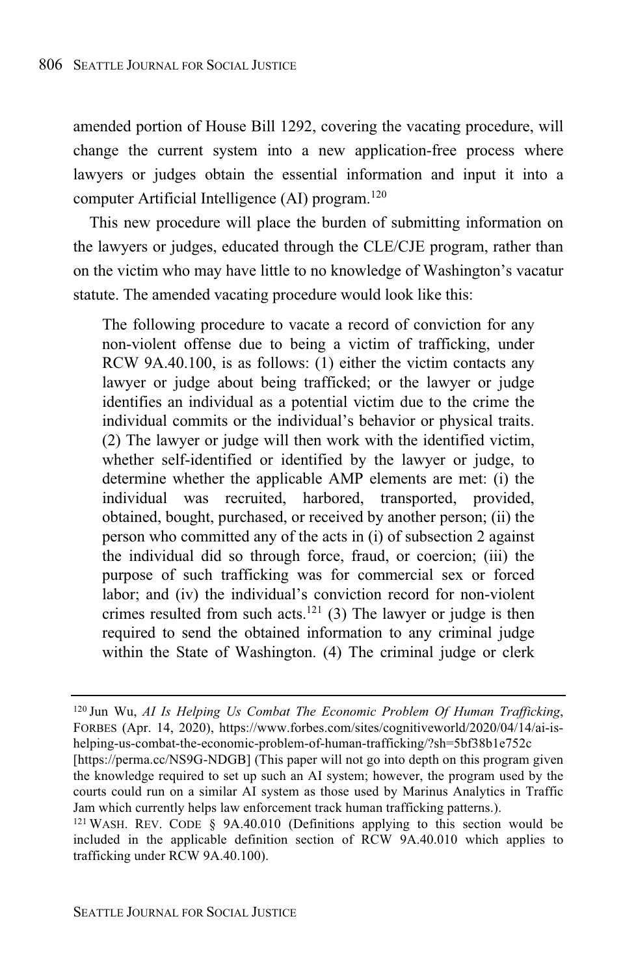amended portion of House Bill 1292, covering the vacating procedure, will change the current system into a new application-free process where lawyers or judges obtain the essential information and input it into a computer Artificial Intelligence (AI) program. 120

This new procedure will place the burden of submitting information on the lawyers or judges, educated through the CLE/CJE program, rather than on the victim who may have little to no knowledge of Washington's vacatur statute. The amended vacating procedure would look like this:

The following procedure to vacate a record of conviction for any non-violent offense due to being a victim of trafficking, under RCW 9A.40.100, is as follows: (1) either the victim contacts any lawyer or judge about being trafficked; or the lawyer or judge identifies an individual as a potential victim due to the crime the individual commits or the individual's behavior or physical traits. (2) The lawyer or judge will then work with the identified victim, whether self-identified or identified by the lawyer or judge, to determine whether the applicable AMP elements are met: (i) the individual was recruited, harbored, transported, provided, obtained, bought, purchased, or received by another person; (ii) the person who committed any of the acts in (i) of subsection 2 against the individual did so through force, fraud, or coercion; (iii) the purpose of such trafficking was for commercial sex or forced labor; and (iv) the individual's conviction record for non-violent crimes resulted from such acts.<sup>121</sup> (3) The lawyer or judge is then required to send the obtained information to any criminal judge within the State of Washington. (4) The criminal judge or clerk

<sup>120</sup> Jun Wu, *AI Is Helping Us Combat The Economic Problem Of Human Trafficking*, FORBES (Apr. 14, 2020), https://www.forbes.com/sites/cognitiveworld/2020/04/14/ai-ishelping-us-combat-the-economic-problem-of-human-trafficking/?sh=5bf38b1e752c

<sup>[</sup>https://perma.cc/NS9G-NDGB] (This paper will not go into depth on this program given the knowledge required to set up such an AI system; however, the program used by the courts could run on a similar AI system as those used by Marinus Analytics in Traffic Jam which currently helps law enforcement track human trafficking patterns.).

 $121$  WASH. REV. CODE § 9A.40.010 (Definitions applying to this section would be included in the applicable definition section of RCW 9A.40.010 which applies to trafficking under RCW 9A.40.100).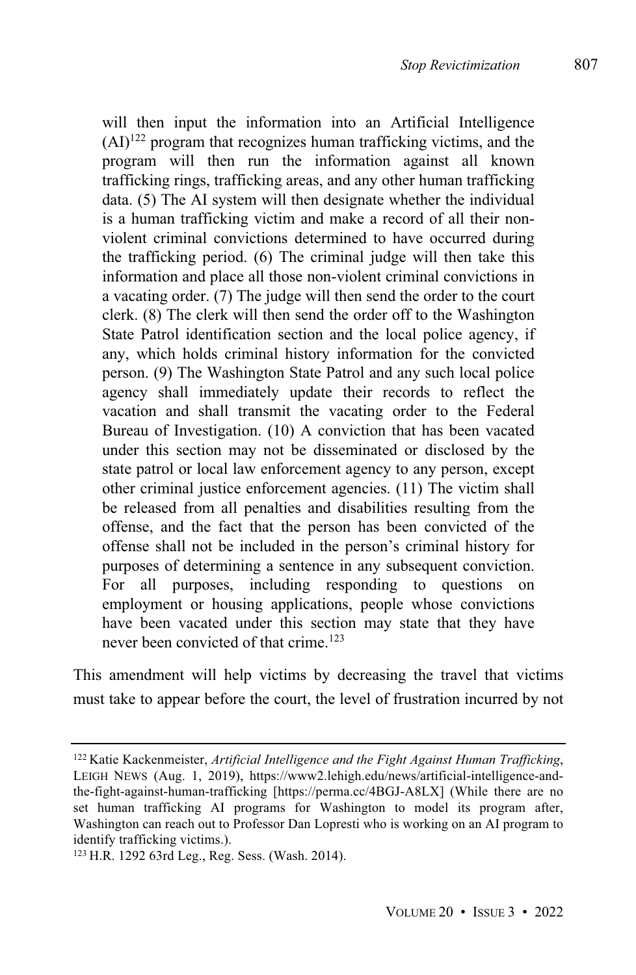$(AI)^{122}$  program that recognizes human trafficking victims, and the program will then run the information against all known trafficking rings, trafficking areas, and any other human trafficking data. (5) The AI system will then designate whether the individual is a human trafficking victim and make a record of all their nonviolent criminal convictions determined to have occurred during the trafficking period. (6) The criminal judge will then take this information and place all those non-violent criminal convictions in a vacating order. (7) The judge will then send the order to the court clerk. (8) The clerk will then send the order off to the Washington State Patrol identification section and the local police agency, if any, which holds criminal history information for the convicted person. (9) The Washington State Patrol and any such local police agency shall immediately update their records to reflect the vacation and shall transmit the vacating order to the Federal Bureau of Investigation. (10) A conviction that has been vacated under this section may not be disseminated or disclosed by the state patrol or local law enforcement agency to any person, except other criminal justice enforcement agencies. (11) The victim shall be released from all penalties and disabilities resulting from the offense, and the fact that the person has been convicted of the offense shall not be included in the person's criminal history for purposes of determining a sentence in any subsequent conviction. For all purposes, including responding to questions on employment or housing applications, people whose convictions have been vacated under this section may state that they have never been convicted of that crime.<sup>123</sup>

This amendment will help victims by decreasing the travel that victims must take to appear before the court, the level of frustration incurred by not

<sup>122</sup> Katie Kackenmeister, *Artificial Intelligence and the Fight Against Human Trafficking*, LEIGH NEWS (Aug. 1, 2019), https://www2.lehigh.edu/news/artificial-intelligence-andthe-fight-against-human-trafficking [https://perma.cc/4BGJ-A8LX] (While there are no set human trafficking AI programs for Washington to model its program after, Washington can reach out to Professor Dan Lopresti who is working on an AI program to identify trafficking victims.).

<sup>123</sup> H.R. 1292 63rd Leg., Reg. Sess. (Wash. 2014).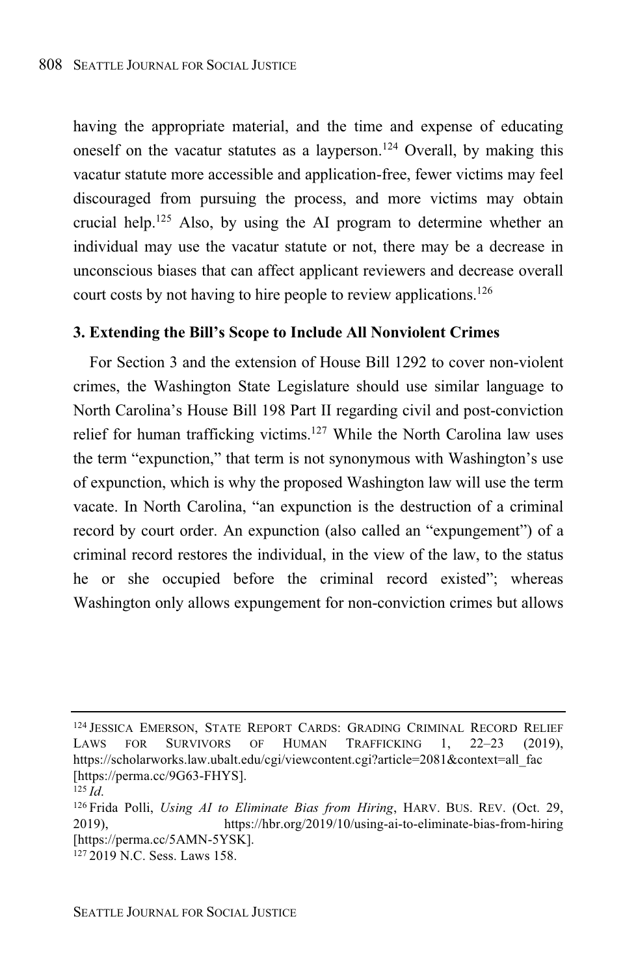having the appropriate material, and the time and expense of educating oneself on the vacatur statutes as a layperson.<sup>124</sup> Overall, by making this vacatur statute more accessible and application-free, fewer victims may feel discouraged from pursuing the process, and more victims may obtain crucial help.<sup>125</sup> Also, by using the AI program to determine whether an individual may use the vacatur statute or not, there may be a decrease in unconscious biases that can affect applicant reviewers and decrease overall court costs by not having to hire people to review applications.<sup>126</sup>

#### **3. Extending the Bill's Scope to Include All Nonviolent Crimes**

For Section 3 and the extension of House Bill 1292 to cover non-violent crimes, the Washington State Legislature should use similar language to North Carolina's House Bill 198 Part II regarding civil and post-conviction relief for human trafficking victims.<sup>127</sup> While the North Carolina law uses the term "expunction," that term is not synonymous with Washington's use of expunction, which is why the proposed Washington law will use the term vacate. In North Carolina, "an expunction is the destruction of a criminal record by court order. An expunction (also called an "expungement") of a criminal record restores the individual, in the view of the law, to the status he or she occupied before the criminal record existed"; whereas Washington only allows expungement for non-conviction crimes but allows

<sup>&</sup>lt;sup>124</sup> JESSICA EMERSON, STATE REPORT CARDS: GRADING CRIMINAL RECORD RELIEF<br>LAWS FOR SURVIVORS OF HUMAN TRAFFICKING 1. 22–23 (2019). LAWS FOR SURVIVORS OF HUMAN TRAFFICKING https://scholarworks.law.ubalt.edu/cgi/viewcontent.cgi?article=2081&context=all\_fac [https://perma.cc/9G63-FHYS].

<sup>125</sup> *Id*.

<sup>126</sup> Frida Polli, *Using AI to Eliminate Bias from Hiring*, HARV. BUS. REV. (Oct. 29, 2019), https://hbr.org/2019/10/using-ai-to-eliminate-bias-from-hiring [https://perma.cc/5AMN-5YSK].

<sup>127</sup> 2019 N.C. Sess. Laws 158.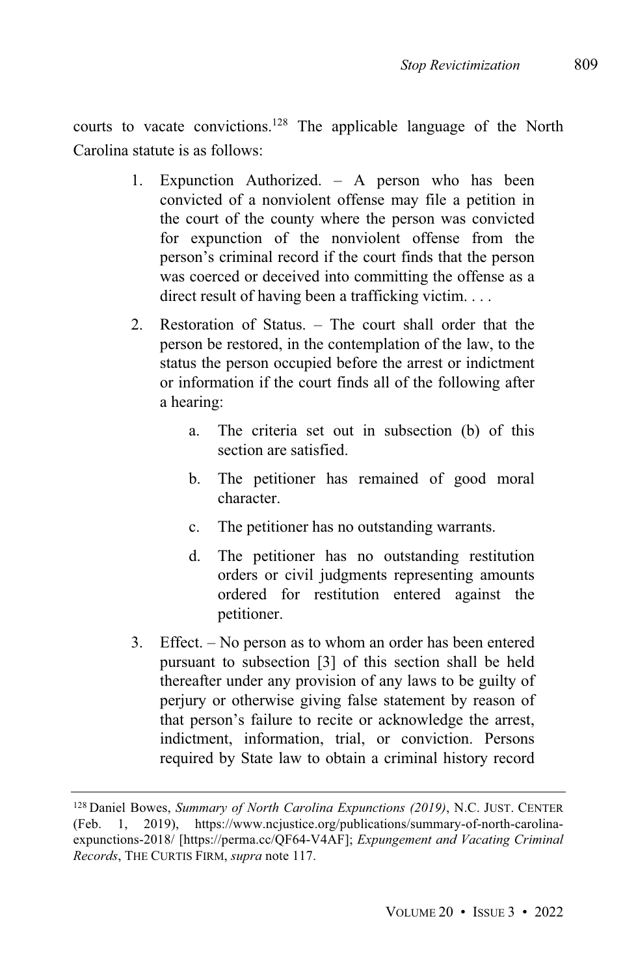courts to vacate convictions.<sup>128</sup> The applicable language of the North Carolina statute is as follows:

- 1. Expunction Authorized. A person who has been convicted of a nonviolent offense may file a petition in the court of the county where the person was convicted for expunction of the nonviolent offense from the person's criminal record if the court finds that the person was coerced or deceived into committing the offense as a direct result of having been a trafficking victim. . . .
- 2. Restoration of Status. The court shall order that the person be restored, in the contemplation of the law, to the status the person occupied before the arrest or indictment or information if the court finds all of the following after a hearing:
	- a. The criteria set out in subsection (b) of this section are satisfied.
	- b. The petitioner has remained of good moral character.
	- c. The petitioner has no outstanding warrants.
	- d. The petitioner has no outstanding restitution orders or civil judgments representing amounts ordered for restitution entered against the petitioner.
- 3. Effect. No person as to whom an order has been entered pursuant to subsection [3] of this section shall be held thereafter under any provision of any laws to be guilty of perjury or otherwise giving false statement by reason of that person's failure to recite or acknowledge the arrest, indictment, information, trial, or conviction. Persons required by State law to obtain a criminal history record

<sup>128</sup> Daniel Bowes, *Summary of North Carolina Expunctions (2019)*, N.C. JUST. CENTER (Feb. 1, 2019), https://www.ncjustice.org/publications/summary-of-north-carolinaexpunctions-2018/ [https://perma.cc/QF64-V4AF]; *Expungement and Vacating Criminal Records*, THE CURTIS FIRM, *supra* note 117.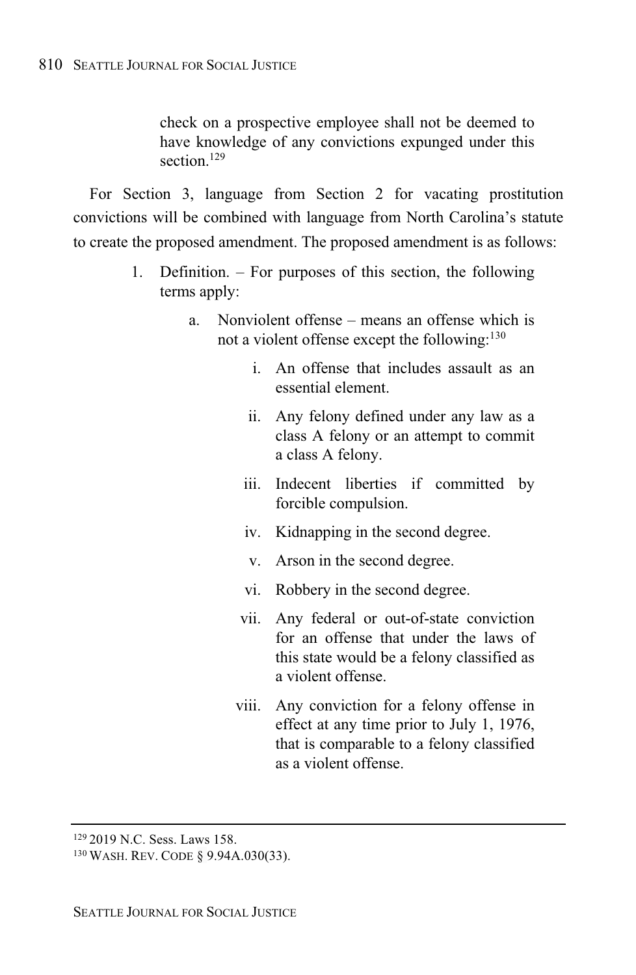check on a prospective employee shall not be deemed to have knowledge of any convictions expunged under this section.<sup>129</sup>

For Section 3, language from Section 2 for vacating prostitution convictions will be combined with language from North Carolina's statute to create the proposed amendment. The proposed amendment is as follows:

- 1. Definition. For purposes of this section, the following terms apply:
	- a. Nonviolent offense means an offense which is not a violent offense except the following:<sup>130</sup>
		- i. An offense that includes assault as an essential element.
		- ii. Any felony defined under any law as a class A felony or an attempt to commit a class A felony.
		- iii. Indecent liberties if committed by forcible compulsion.
		- iv. Kidnapping in the second degree.
		- v. Arson in the second degree.
		- vi. Robbery in the second degree.
		- vii. Any federal or out-of-state conviction for an offense that under the laws of this state would be a felony classified as a violent offense.
		- viii. Any conviction for a felony offense in effect at any time prior to July 1, 1976, that is comparable to a felony classified as a violent offense.

<sup>129</sup> 2019 N.C. Sess. Laws 158.

<sup>130</sup> WASH. REV. CODE § 9.94A.030(33).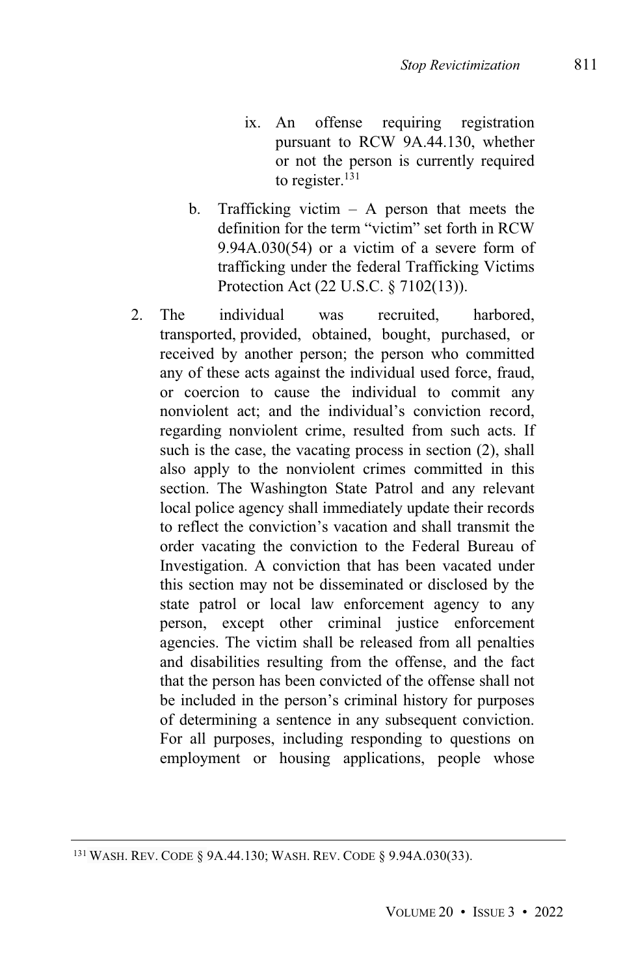- ix. An offense requiring registration pursuant to RCW 9A.44.130, whether or not the person is currently required to register. 131
- b. Trafficking victim  $-$  A person that meets the definition for the term "victim" set forth in RCW 9.94A.030(54) or a victim of a severe form of trafficking under the federal Trafficking Victims Protection Act (22 U.S.C. § 7102(13)).
- 2. The individual was recruited, harbored, transported, provided, obtained, bought, purchased, or received by another person; the person who committed any of these acts against the individual used force, fraud, or coercion to cause the individual to commit any nonviolent act; and the individual's conviction record, regarding nonviolent crime, resulted from such acts. If such is the case, the vacating process in section (2), shall also apply to the nonviolent crimes committed in this section. The Washington State Patrol and any relevant local police agency shall immediately update their records to reflect the conviction's vacation and shall transmit the order vacating the conviction to the Federal Bureau of Investigation. A conviction that has been vacated under this section may not be disseminated or disclosed by the state patrol or local law enforcement agency to any person, except other criminal justice enforcement agencies. The victim shall be released from all penalties and disabilities resulting from the offense, and the fact that the person has been convicted of the offense shall not be included in the person's criminal history for purposes of determining a sentence in any subsequent conviction. For all purposes, including responding to questions on employment or housing applications, people whose

<sup>131</sup> WASH. REV. CODE § 9A.44.130; WASH. REV. CODE § 9.94A.030(33).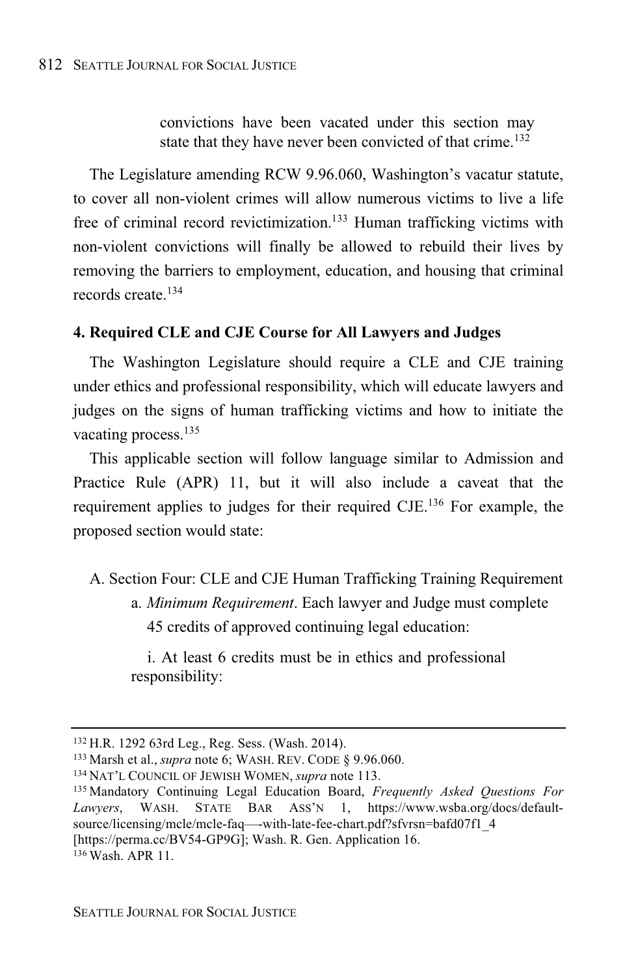convictions have been vacated under this section may state that they have never been convicted of that crime.<sup>132</sup>

The Legislature amending RCW 9.96.060, Washington's vacatur statute, to cover all non-violent crimes will allow numerous victims to live a life free of criminal record revictimization.<sup>133</sup> Human trafficking victims with non-violent convictions will finally be allowed to rebuild their lives by removing the barriers to employment, education, and housing that criminal records create.<sup>134</sup>

## **4. Required CLE and CJE Course for All Lawyers and Judges**

The Washington Legislature should require a CLE and CJE training under ethics and professional responsibility, which will educate lawyers and judges on the signs of human trafficking victims and how to initiate the vacating process.<sup>135</sup>

This applicable section will follow language similar to Admission and Practice Rule (APR) 11, but it will also include a caveat that the requirement applies to judges for their required CJE.<sup>136</sup> For example, the proposed section would state:

A. Section Four: CLE and CJE Human Trafficking Training Requirement a. *Minimum Requirement*. Each lawyer and Judge must complete 45 credits of approved continuing legal education:

i. At least 6 credits must be in ethics and professional responsibility:

<sup>132</sup> H.R. 1292 63rd Leg., Reg. Sess. (Wash. 2014).

<sup>133</sup> Marsh et al., *supra* note 6; WASH. REV. CODE § 9.96.060.

<sup>134</sup> NAT'L COUNCIL OF JEWISH WOMEN, *supra* note 113.

<sup>135</sup> Mandatory Continuing Legal Education Board, *Frequently Asked Questions For Lawyers*, WASH. STATE BAR ASS'N 1, https://www.wsba.org/docs/defaultsource/licensing/mcle/mcle-faq—-with-late-fee-chart.pdf?sfvrsn=bafd07f1\_4 [https://perma.cc/BV54-GP9G]; Wash. R. Gen. Application 16. <sup>136</sup> Wash. APR 11.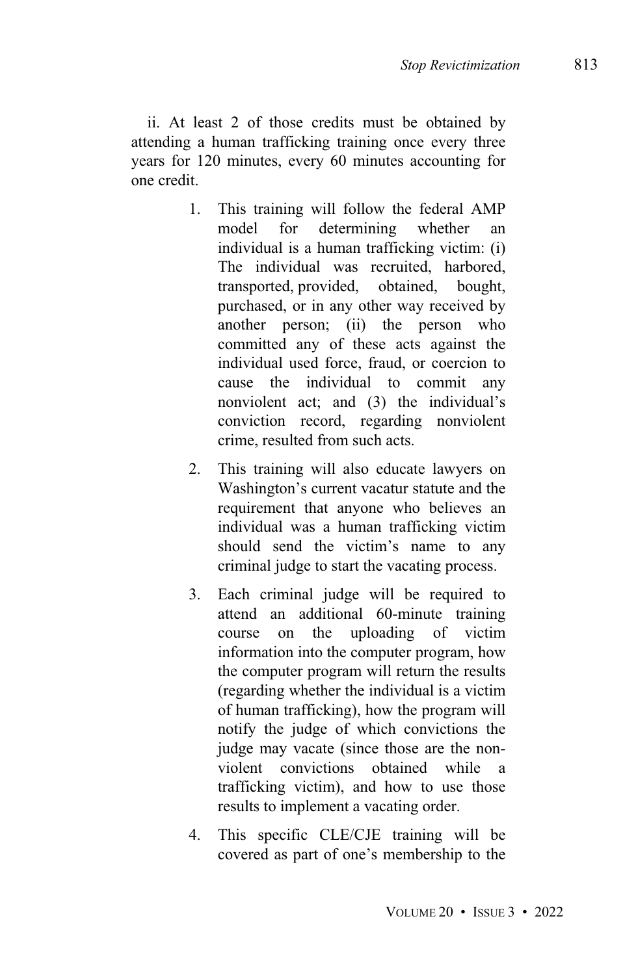ii. At least 2 of those credits must be obtained by attending a human trafficking training once every three years for 120 minutes, every 60 minutes accounting for one credit.

- 1. This training will follow the federal AMP model for determining whether an individual is a human trafficking victim: (i) The individual was recruited, harbored, transported, provided, obtained, bought, purchased, or in any other way received by another person; (ii) the person who committed any of these acts against the individual used force, fraud, or coercion to cause the individual to commit any nonviolent act; and (3) the individual's conviction record, regarding nonviolent crime, resulted from such acts.
- 2. This training will also educate lawyers on Washington's current vacatur statute and the requirement that anyone who believes an individual was a human trafficking victim should send the victim's name to any criminal judge to start the vacating process.
- 3. Each criminal judge will be required to attend an additional 60-minute training course on the uploading of victim information into the computer program, how the computer program will return the results (regarding whether the individual is a victim of human trafficking), how the program will notify the judge of which convictions the judge may vacate (since those are the nonviolent convictions obtained while a trafficking victim), and how to use those results to implement a vacating order.
- 4. This specific CLE/CJE training will be covered as part of one's membership to the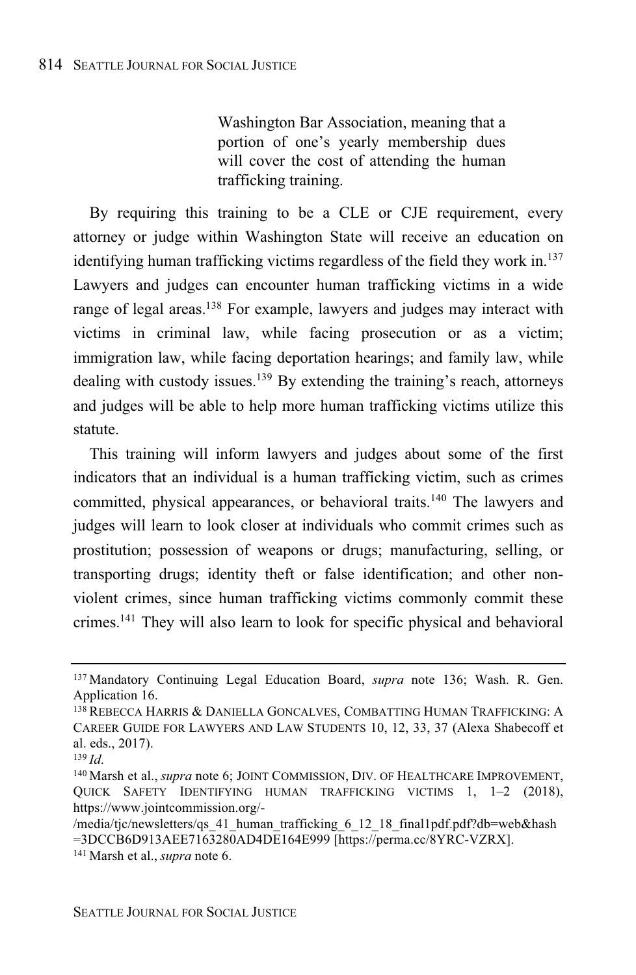Washington Bar Association, meaning that a portion of one's yearly membership dues will cover the cost of attending the human trafficking training.

By requiring this training to be a CLE or CJE requirement, every attorney or judge within Washington State will receive an education on identifying human trafficking victims regardless of the field they work in.<sup>137</sup> Lawyers and judges can encounter human trafficking victims in a wide range of legal areas.<sup>138</sup> For example, lawyers and judges may interact with victims in criminal law, while facing prosecution or as a victim; immigration law, while facing deportation hearings; and family law, while dealing with custody issues.<sup>139</sup> By extending the training's reach, attorneys and judges will be able to help more human trafficking victims utilize this statute.

This training will inform lawyers and judges about some of the first indicators that an individual is a human trafficking victim, such as crimes committed, physical appearances, or behavioral traits.<sup>140</sup> The lawyers and judges will learn to look closer at individuals who commit crimes such as prostitution; possession of weapons or drugs; manufacturing, selling, or transporting drugs; identity theft or false identification; and other nonviolent crimes, since human trafficking victims commonly commit these crimes.<sup>141</sup> They will also learn to look for specific physical and behavioral

<sup>137</sup> Mandatory Continuing Legal Education Board, *supra* note 136; Wash. R. Gen. Application 16.

<sup>138</sup> REBECCA HARRIS & DANIELLA GONCALVES, COMBATTING HUMAN TRAFFICKING: A CAREER GUIDE FOR LAWYERS AND LAW STUDENTS 10, 12, 33, 37 (Alexa Shabecoff et al. eds., 2017).

<sup>139</sup> *Id*.

<sup>140</sup> Marsh et al., *supra* note 6; JOINT COMMISSION, DIV. OF HEALTHCARE IMPROVEMENT, QUICK SAFETY IDENTIFYING HUMAN TRAFFICKING VICTIMS 1, 1–2 (2018), https://www.jointcommission.org/-

<sup>/</sup>media/tjc/newsletters/qs\_41\_human\_trafficking\_6\_12\_18\_final1pdf.pdf?db=web&hash =3DCCB6D913AEE7163280AD4DE164E999 [https://perma.cc/8YRC-VZRX]. <sup>141</sup> Marsh et al., *supra* note 6.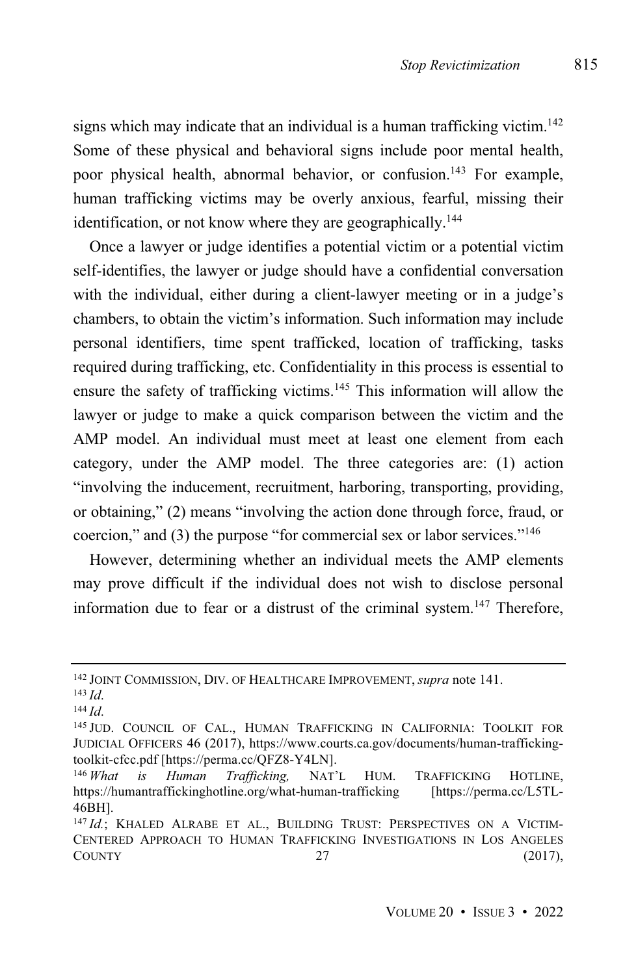signs which may indicate that an individual is a human trafficking victim. 142 Some of these physical and behavioral signs include poor mental health, poor physical health, abnormal behavior, or confusion.<sup>143</sup> For example, human trafficking victims may be overly anxious, fearful, missing their identification, or not know where they are geographically.<sup>144</sup>

Once a lawyer or judge identifies a potential victim or a potential victim self-identifies, the lawyer or judge should have a confidential conversation with the individual, either during a client-lawyer meeting or in a judge's chambers, to obtain the victim's information. Such information may include personal identifiers, time spent trafficked, location of trafficking, tasks required during trafficking, etc. Confidentiality in this process is essential to ensure the safety of trafficking victims.<sup>145</sup> This information will allow the lawyer or judge to make a quick comparison between the victim and the AMP model. An individual must meet at least one element from each category, under the AMP model. The three categories are: (1) action "involving the inducement, recruitment, harboring, transporting, providing, or obtaining," (2) means "involving the action done through force, fraud, or coercion," and (3) the purpose "for commercial sex or labor services."<sup>146</sup>

However, determining whether an individual meets the AMP elements may prove difficult if the individual does not wish to disclose personal information due to fear or a distrust of the criminal system.<sup>147</sup> Therefore,

<sup>142</sup> JOINT COMMISSION, DIV. OF HEALTHCARE IMPROVEMENT, *supra* note 141.

<sup>143</sup> *Id*.

<sup>144</sup> *Id*.

<sup>145</sup> JUD. COUNCIL OF CAL., HUMAN TRAFFICKING IN CALIFORNIA: TOOLKIT FOR JUDICIAL OFFICERS 46 (2017), https://www.courts.ca.gov/documents/human-traffickingtoolkit-cfcc.pdf [https://perma.cc/QFZ8-Y4LN].

<sup>146</sup> *What is Human Trafficking,* NAT'L HUM. TRAFFICKING HOTLINE, https://humantraffickinghotline.org/what-human-trafficking 46BH].

<sup>147</sup> Id.; KHALED ALRABE ET AL., BUILDING TRUST: PERSPECTIVES ON A VICTIM-CENTERED APPROACH TO HUMAN TRAFFICKING INVESTIGATIONS IN LOS ANGELES  $C$ OUNTY  $27$  (2017),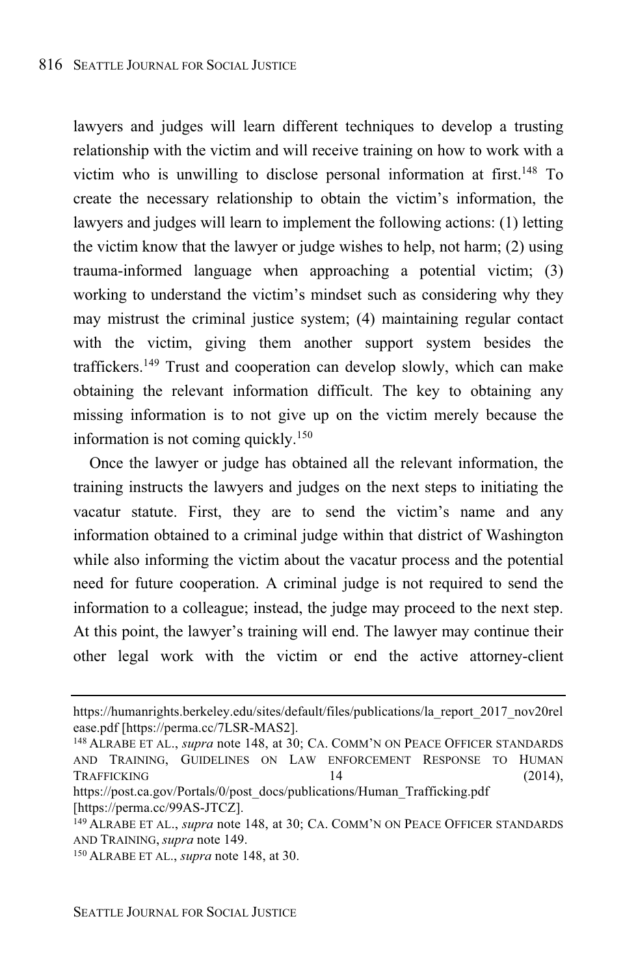lawyers and judges will learn different techniques to develop a trusting relationship with the victim and will receive training on how to work with a victim who is unwilling to disclose personal information at first.<sup>148</sup> To create the necessary relationship to obtain the victim's information, the lawyers and judges will learn to implement the following actions: (1) letting the victim know that the lawyer or judge wishes to help, not harm; (2) using trauma-informed language when approaching a potential victim; (3) working to understand the victim's mindset such as considering why they may mistrust the criminal justice system; (4) maintaining regular contact with the victim, giving them another support system besides the traffickers.<sup>149</sup> Trust and cooperation can develop slowly, which can make obtaining the relevant information difficult. The key to obtaining any missing information is to not give up on the victim merely because the information is not coming quickly.<sup>150</sup>

Once the lawyer or judge has obtained all the relevant information, the training instructs the lawyers and judges on the next steps to initiating the vacatur statute. First, they are to send the victim's name and any information obtained to a criminal judge within that district of Washington while also informing the victim about the vacatur process and the potential need for future cooperation. A criminal judge is not required to send the information to a colleague; instead, the judge may proceed to the next step. At this point, the lawyer's training will end. The lawyer may continue their other legal work with the victim or end the active attorney-client

https://humanrights.berkeley.edu/sites/default/files/publications/la\_report\_2017\_nov20rel ease.pdf [https://perma.cc/7LSR-MAS2].

<sup>148</sup> ALRABE ET AL., *supra* note 148, at 30; CA. COMM'N ON PEACE OFFICER STANDARDS AND TRAINING, GUIDELINES ON LAW ENFORCEMENT RESPONSE TO HUMAN TRAFFICKING 14 (2014),

https://post.ca.gov/Portals/0/post\_docs/publications/Human\_Trafficking.pdf [https://perma.cc/99AS-JTCZ].

<sup>149</sup> ALRABE ET AL., *supra* note 148, at 30; CA. COMM'N ON PEACE OFFICER STANDARDS AND TRAINING, *supra* note 149.

<sup>150</sup> ALRABE ET AL., *supra* note 148, at 30.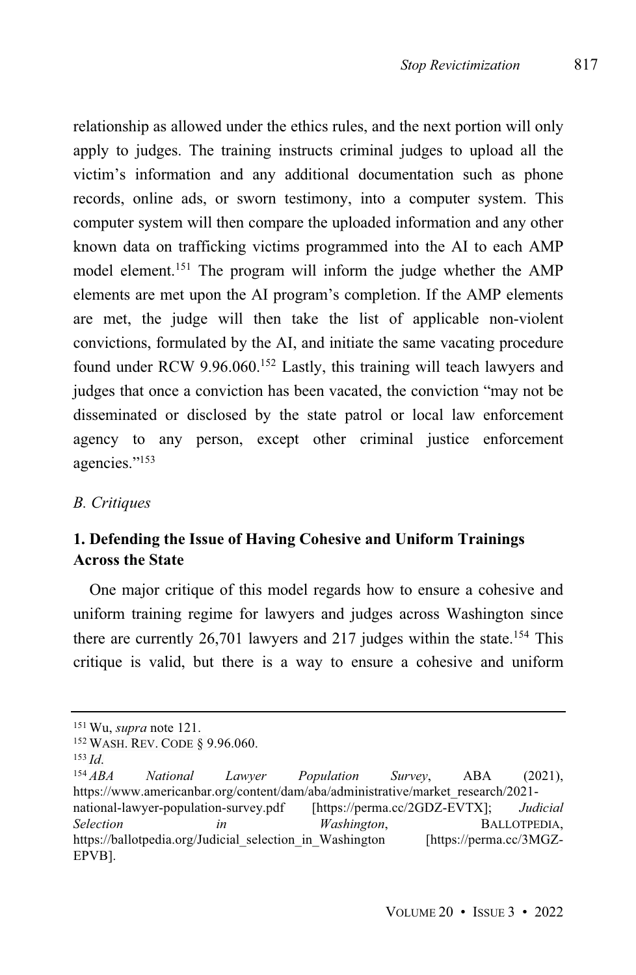relationship as allowed under the ethics rules, and the next portion will only apply to judges. The training instructs criminal judges to upload all the victim's information and any additional documentation such as phone records, online ads, or sworn testimony, into a computer system. This computer system will then compare the uploaded information and any other known data on trafficking victims programmed into the AI to each AMP model element.<sup>151</sup> The program will inform the judge whether the AMP elements are met upon the AI program's completion. If the AMP elements are met, the judge will then take the list of applicable non-violent convictions, formulated by the AI, and initiate the same vacating procedure found under RCW 9.96.060.<sup>152</sup> Lastly, this training will teach lawyers and judges that once a conviction has been vacated, the conviction "may not be disseminated or disclosed by the state patrol or local law enforcement agency to any person, except other criminal justice enforcement agencies." 153

#### *B. Critiques*

## **1. Defending the Issue of Having Cohesive and Uniform Trainings Across the State**

One major critique of this model regards how to ensure a cohesive and uniform training regime for lawyers and judges across Washington since there are currently  $26,701$  lawyers and  $217$  judges within the state.<sup>154</sup> This critique is valid, but there is a way to ensure a cohesive and uniform

<sup>151</sup> Wu, *supra* note 121.

<sup>152</sup> WASH. REV. CODE § 9.96.060.

<sup>153</sup> *Id*.

<sup>154</sup> *ABA National Lawyer Population Survey*, ABA (2021), https://www.americanbar.org/content/dam/aba/administrative/market\_research/2021 national-lawyer-population-survey.pdf [https://perma.cc/2GDZ-EVTX]; *Judicial Selection in Washington*, BALLOTPEDIA, https://ballotpedia.org/Judicial selection in Washington EPVB].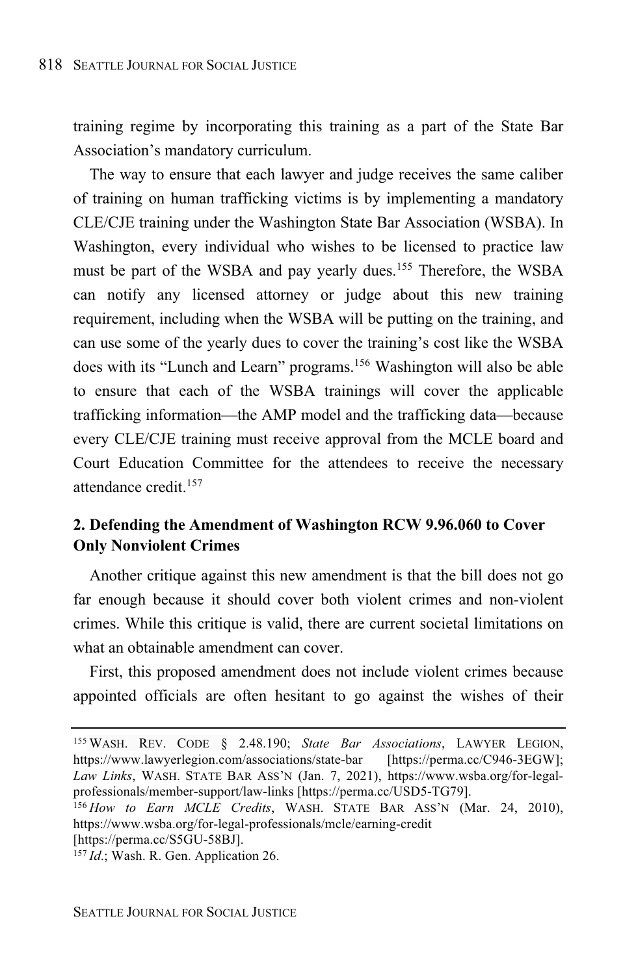training regime by incorporating this training as a part of the State Bar Association's mandatory curriculum.

The way to ensure that each lawyer and judge receives the same caliber of training on human trafficking victims is by implementing a mandatory CLE/CJE training under the Washington State Bar Association (WSBA). In Washington, every individual who wishes to be licensed to practice law must be part of the WSBA and pay yearly dues.<sup>155</sup> Therefore, the WSBA can notify any licensed attorney or judge about this new training requirement, including when the WSBA will be putting on the training, and can use some of the yearly dues to cover the training's cost like the WSBA does with its "Lunch and Learn" programs.<sup>156</sup> Washington will also be able to ensure that each of the WSBA trainings will cover the applicable trafficking information—the AMP model and the trafficking data—because every CLE/CJE training must receive approval from the MCLE board and Court Education Committee for the attendees to receive the necessary attendance credit.<sup>157</sup>

## **2. Defending the Amendment of Washington RCW 9.96.060 to Cover Only Nonviolent Crimes**

Another critique against this new amendment is that the bill does not go far enough because it should cover both violent crimes and non-violent crimes. While this critique is valid, there are current societal limitations on what an obtainable amendment can cover.

First, this proposed amendment does not include violent crimes because appointed officials are often hesitant to go against the wishes of their

<sup>155</sup> WASH. REV. CODE § 2.48.190; *State Bar Associations*, LAWYER LEGION, https://www.lawyerlegion.com/associations/state-bar [https://perma.cc/C946-3EGW]; *Law Links*, WASH. STATE BAR ASS'N (Jan. 7, 2021), https://www.wsba.org/for-legalprofessionals/member-support/law-links [https://perma.cc/USD5-TG79].

<sup>156</sup> *How to Earn MCLE Credits*, WASH. STATE BAR ASS'N (Mar. 24, 2010), https://www.wsba.org/for-legal-professionals/mcle/earning-credit [https://perma.cc/S5GU-58BJ].

<sup>157</sup> *Id*.; Wash. R. Gen. Application 26.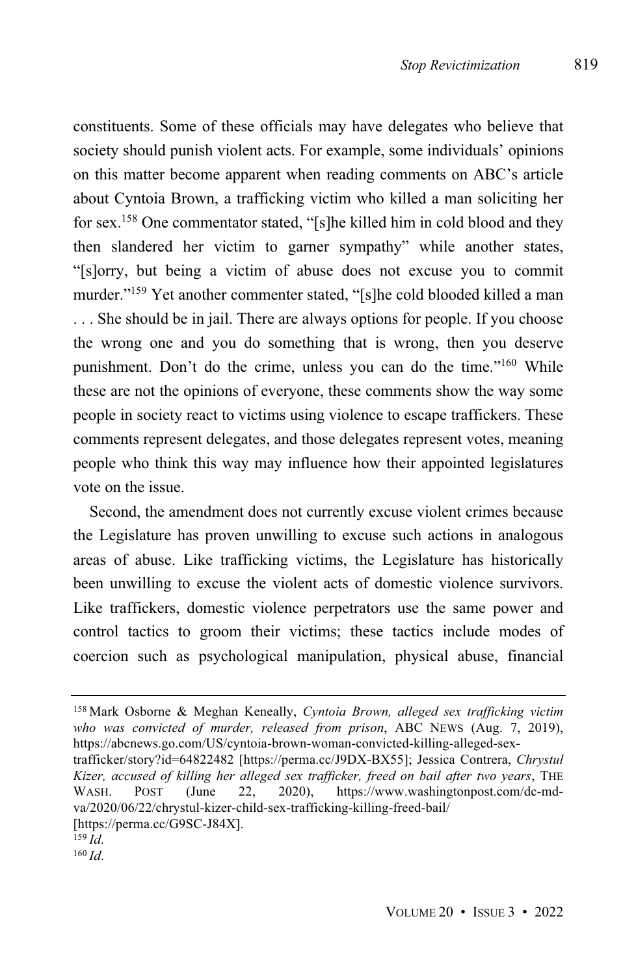constituents. Some of these officials may have delegates who believe that society should punish violent acts. For example, some individuals' opinions on this matter become apparent when reading comments on ABC's article about Cyntoia Brown, a trafficking victim who killed a man soliciting her for sex.<sup>158</sup> One commentator stated, "[s]he killed him in cold blood and they then slandered her victim to garner sympathy" while another states, "[s]orry, but being a victim of abuse does not excuse you to commit murder."<sup>159</sup> Yet another commenter stated, "[s]he cold blooded killed a man . . . She should be in jail. There are always options for people. If you choose the wrong one and you do something that is wrong, then you deserve punishment. Don't do the crime, unless you can do the time."<sup>160</sup> While these are not the opinions of everyone, these comments show the way some people in society react to victims using violence to escape traffickers. These comments represent delegates, and those delegates represent votes, meaning people who think this way may influence how their appointed legislatures vote on the issue.

Second, the amendment does not currently excuse violent crimes because the Legislature has proven unwilling to excuse such actions in analogous areas of abuse. Like trafficking victims, the Legislature has historically been unwilling to excuse the violent acts of domestic violence survivors. Like traffickers, domestic violence perpetrators use the same power and control tactics to groom their victims; these tactics include modes of coercion such as psychological manipulation, physical abuse, financial

<sup>158</sup> Mark Osborne & Meghan Keneally, *Cyntoia Brown, alleged sex trafficking victim who was convicted of murder, released from prison*, ABC NEWS (Aug. 7, 2019), https://abcnews.go.com/US/cyntoia-brown-woman-convicted-killing-alleged-sex-

trafficker/story?id=64822482 [https://perma.cc/J9DX-BX55]; Jessica Contrera, *Chrystul Kizer, accused of killing her alleged sex trafficker, freed on bail after two years*, THE https://www.washingtonpost.com/dc-mdva/2020/06/22/chrystul-kizer-child-sex-trafficking-killing-freed-bail/ [https://perma.cc/G9SC-J84X].

 $159$  *Id.* 

<sup>160</sup> *Id*.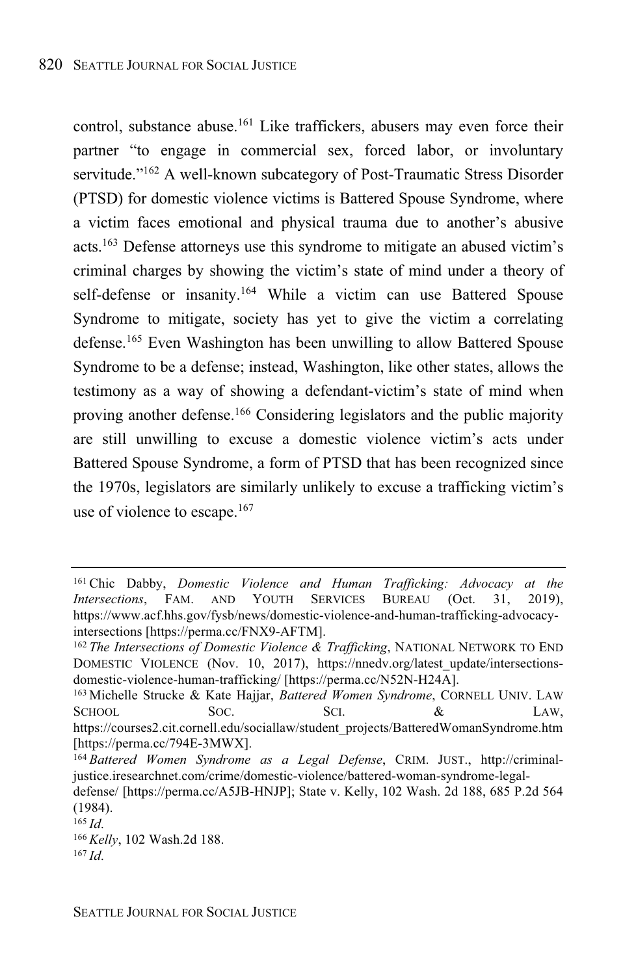control, substance abuse.<sup>161</sup> Like traffickers, abusers may even force their partner "to engage in commercial sex, forced labor, or involuntary servitude."<sup>162</sup> A well-known subcategory of Post-Traumatic Stress Disorder (PTSD) for domestic violence victims is Battered Spouse Syndrome, where a victim faces emotional and physical trauma due to another's abusive acts.<sup>163</sup> Defense attorneys use this syndrome to mitigate an abused victim's criminal charges by showing the victim's state of mind under a theory of self-defense or insanity.<sup>164</sup> While a victim can use Battered Spouse Syndrome to mitigate, society has yet to give the victim a correlating defense.<sup>165</sup> Even Washington has been unwilling to allow Battered Spouse Syndrome to be a defense; instead, Washington, like other states, allows the testimony as a way of showing a defendant-victim's state of mind when proving another defense.<sup>166</sup> Considering legislators and the public majority are still unwilling to excuse a domestic violence victim's acts under Battered Spouse Syndrome, a form of PTSD that has been recognized since the 1970s, legislators are similarly unlikely to excuse a trafficking victim's use of violence to escape. $167$ 

<sup>161</sup> Chic Dabby, *Domestic Violence and Human Trafficking: Advocacy at the Intersections*, FAM. AND YOUTH SERVICES BUREAU (Oct. 31, 2019), https://www.acf.hhs.gov/fysb/news/domestic-violence-and-human-trafficking-advocacyintersections [https://perma.cc/FNX9-AFTM].

<sup>162</sup> *The Intersections of Domestic Violence & Trafficking*, NATIONAL NETWORK TO END DOMESTIC VIOLENCE (Nov. 10, 2017), https://nnedv.org/latest\_update/intersectionsdomestic-violence-human-trafficking/ [https://perma.cc/N52N-H24A].

<sup>163</sup> Michelle Strucke & Kate Hajjar, *Battered Women Syndrome*, CORNELL UNIV. LAW SCHOOL SOC. SCI.  $\&$  LAW, https://courses2.cit.cornell.edu/sociallaw/student\_projects/BatteredWomanSyndrome.htm [https://perma.cc/794E-3MWX].

<sup>164</sup> *Battered Women Syndrome as a Legal Defense*, CRIM. JUST., http://criminaljustice.iresearchnet.com/crime/domestic-violence/battered-woman-syndrome-legal-

defense/ [https://perma.cc/A5JB-HNJP]; State v. Kelly, 102 Wash. 2d 188, 685 P.2d 564 (1984).

<sup>165</sup> *Id*.

<sup>166</sup> *Kelly*, 102 Wash.2d 188. <sup>167</sup> *Id*.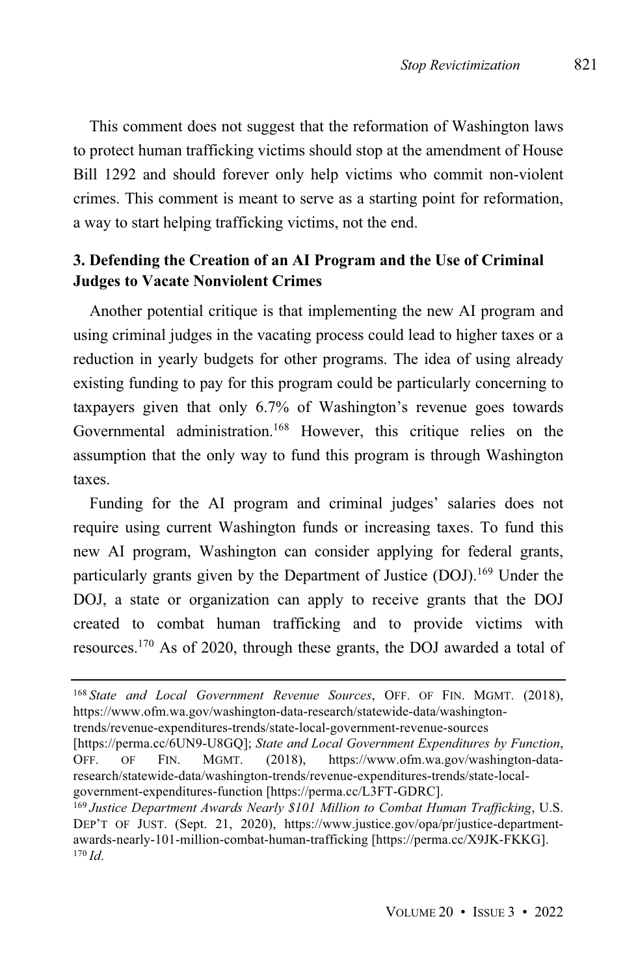This comment does not suggest that the reformation of Washington laws to protect human trafficking victims should stop at the amendment of House Bill 1292 and should forever only help victims who commit non-violent crimes. This comment is meant to serve as a starting point for reformation, a way to start helping trafficking victims, not the end.

## **3. Defending the Creation of an AI Program and the Use of Criminal Judges to Vacate Nonviolent Crimes**

Another potential critique is that implementing the new AI program and using criminal judges in the vacating process could lead to higher taxes or a reduction in yearly budgets for other programs. The idea of using already existing funding to pay for this program could be particularly concerning to taxpayers given that only 6.7% of Washington's revenue goes towards Governmental administration.<sup>168</sup> However, this critique relies on the assumption that the only way to fund this program is through Washington taxes.

Funding for the AI program and criminal judges' salaries does not require using current Washington funds or increasing taxes. To fund this new AI program, Washington can consider applying for federal grants, particularly grants given by the Department of Justice (DOJ).<sup>169</sup> Under the DOJ, a state or organization can apply to receive grants that the DOJ created to combat human trafficking and to provide victims with resources.<sup>170</sup> As of 2020, through these grants, the DOJ awarded a total of

<sup>168</sup> *State and Local Government Revenue Sources*, OFF. OF FIN. MGMT. (2018), https://www.ofm.wa.gov/washington-data-research/statewide-data/washingtontrends/revenue-expenditures-trends/state-local-government-revenue-sources

<sup>[</sup>https://perma.cc/6UN9-U8GQ]; *State and Local Government Expenditures by Function*, OFF. OF FIN. MGMT. (2018), https://www.ofm.wa.gov/washington-dataresearch/statewide-data/washington-trends/revenue-expenditures-trends/state-localgovernment-expenditures-function [https://perma.cc/L3FT-GDRC].

<sup>169</sup> *Justice Department Awards Nearly \$101 Million to Combat Human Trafficking*, U.S. DEP'T OF JUST. (Sept. 21, 2020), https://www.justice.gov/opa/pr/justice-departmentawards-nearly-101-million-combat-human-trafficking [https://perma.cc/X9JK-FKKG].  $170$  *Id.*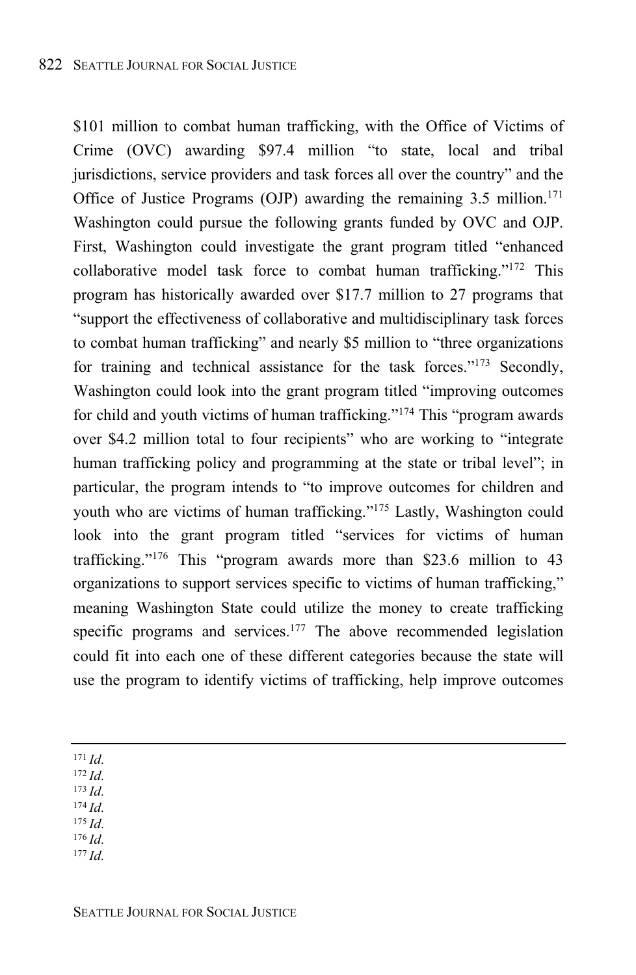\$101 million to combat human trafficking, with the Office of Victims of Crime (OVC) awarding \$97.4 million "to state, local and tribal jurisdictions, service providers and task forces all over the country" and the Office of Justice Programs (OJP) awarding the remaining  $3.5 \text{ million}^{171}$ . Washington could pursue the following grants funded by OVC and OJP. First, Washington could investigate the grant program titled "enhanced collaborative model task force to combat human trafficking."<sup>172</sup> This program has historically awarded over \$17.7 million to 27 programs that "support the effectiveness of collaborative and multidisciplinary task forces to combat human trafficking" and nearly \$5 million to "three organizations for training and technical assistance for the task forces."<sup>173</sup> Secondly, Washington could look into the grant program titled "improving outcomes for child and youth victims of human trafficking." <sup>174</sup> This "program awards over \$4.2 million total to four recipients" who are working to "integrate human trafficking policy and programming at the state or tribal level"; in particular, the program intends to "to improve outcomes for children and youth who are victims of human trafficking." <sup>175</sup> Lastly, Washington could look into the grant program titled "services for victims of human trafficking." <sup>176</sup> This "program awards more than \$23.6 million to 43 organizations to support services specific to victims of human trafficking," meaning Washington State could utilize the money to create trafficking specific programs and services. <sup>177</sup> The above recommended legislation could fit into each one of these different categories because the state will use the program to identify victims of trafficking, help improve outcomes

<sup>171</sup> *Id*.

<sup>172</sup> *Id*.

<sup>173</sup> *Id*.

 $174$  *Id.* 

- <sup>175</sup> *Id*.
- <sup>176</sup> *Id*.
- <sup>177</sup> *Id*.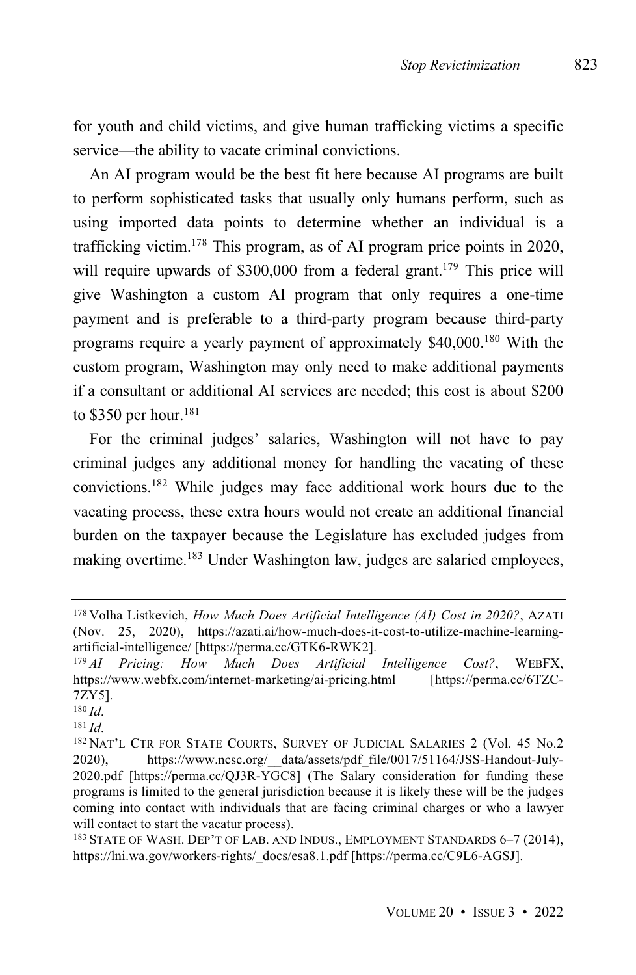for youth and child victims, and give human trafficking victims a specific service—the ability to vacate criminal convictions.

An AI program would be the best fit here because AI programs are built to perform sophisticated tasks that usually only humans perform, such as using imported data points to determine whether an individual is a trafficking victim.<sup>178</sup> This program, as of AI program price points in 2020, will require upwards of  $$300,000$  from a federal grant.<sup>179</sup> This price will give Washington a custom AI program that only requires a one-time payment and is preferable to a third-party program because third-party programs require a yearly payment of approximately \$40,000.<sup>180</sup> With the custom program, Washington may only need to make additional payments if a consultant or additional AI services are needed; this cost is about \$200 to \$350 per hour.<sup>181</sup>

For the criminal judges' salaries, Washington will not have to pay criminal judges any additional money for handling the vacating of these convictions.<sup>182</sup> While judges may face additional work hours due to the vacating process, these extra hours would not create an additional financial burden on the taxpayer because the Legislature has excluded judges from making overtime.<sup>183</sup> Under Washington law, judges are salaried employees,

<sup>178</sup> Volha Listkevich, *How Much Does Artificial Intelligence (AI) Cost in 2020?*, AZATI (Nov. 25, 2020), https://azati.ai/how-much-does-it-cost-to-utilize-machine-learningartificial-intelligence/ [https://perma.cc/GTK6-RWK2].

<sup>179</sup> *AI Pricing: How Much Does Artificial Intelligence Cost?*, WEBFX, https://www.webfx.com/internet-marketing/ai-pricing.html [https://perma.cc/6TZC-7ZY5].

<sup>180</sup> *Id*.

<sup>181</sup> *Id*.

<sup>182</sup> NAT'L CTR FOR STATE COURTS, SURVEY OF JUDICIAL SALARIES 2 (Vol. 45 No.2) 2020), https://www.ncsc.org/\_\_data/assets/pdf\_file/0017/51164/JSS-Handout-July-2020.pdf [https://perma.cc/QJ3R-YGC8] (The Salary consideration for funding these programs is limited to the general jurisdiction because it is likely these will be the judges coming into contact with individuals that are facing criminal charges or who a lawyer will contact to start the vacatur process).

<sup>183</sup> STATE OF WASH. DEP'T OF LAB. AND INDUS., EMPLOYMENT STANDARDS 6–7 (2014), https://lni.wa.gov/workers-rights/\_docs/esa8.1.pdf [https://perma.cc/C9L6-AGSJ].